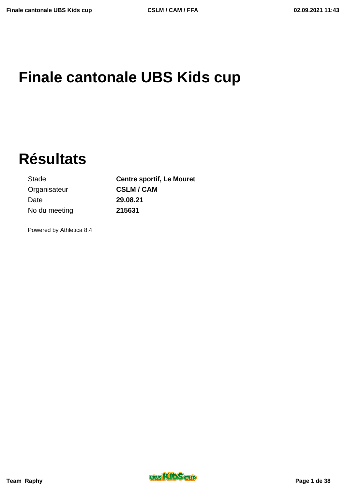# **Finale cantonale UBS Kids cup**

**Résultats**

Organisateur **CSLM / CAM** Date **29.08.21** No du meeting **215631**

Stade **Centre sportif, Le Mouret**

Powered by Athletica 8.4



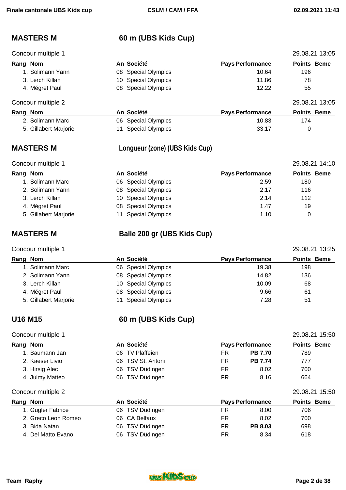## **MASTERS M 60 m (UBS Kids Cup)**

| Concour multiple 1 |                     |                         | 29.08.21 13:05     |
|--------------------|---------------------|-------------------------|--------------------|
| Rang Nom           | An Société          | <b>Pays Performance</b> | <b>Points Beme</b> |
| 1. Solimann Yann   | 08 Special Olympics | 10.64                   | 196                |
| 3. Lerch Killan    | 10 Special Olympics | 11.86                   | 78                 |
| 4. Mégret Paul     | 08 Special Olympics | 12.22                   | 55                 |
| Concour multiple 2 |                     |                         | 29.08.21 13:05     |
| Rang Nom           | An Société          | <b>Pays Performance</b> | <b>Points Beme</b> |

| 2. Solimann Marc      | 06 Special Olympics | 10.83 |  |
|-----------------------|---------------------|-------|--|
| 5. Gillabert Marjorie | 11 Special Olympics | 33.17 |  |

## **MASTERS M Longueur (zone) (UBS Kids Cup)**

| Concour multiple 1    |                         |                         | 29.08.21 14:10     |
|-----------------------|-------------------------|-------------------------|--------------------|
| Rang Nom              | An Société              | <b>Pays Performance</b> | <b>Points Beme</b> |
| 1. Solimann Marc      | 06 Special Olympics     | 2.59                    | 180                |
| 2. Solimann Yann      | 08 Special Olympics     | 2.17                    | 116                |
| 3. Lerch Killan       | 10 Special Olympics     | 2.14                    | 112                |
| 4. Mégret Paul        | 08 Special Olympics     | 1.47                    | 19                 |
| 5. Gillabert Marjorie | <b>Special Olympics</b> | 1.10                    |                    |

## **MASTERS M Balle 200 gr (UBS Kids Cup)**

### Concour multiple 1 29.08.21 13:25

## **Rang** Nom **An Société Pays Performance Points** Beme 1. Solimann Marc 06 Special Olympics 19.38 198 2. Solimann Yann **136** O8 Special Olympics **14.82** 136 3. Lerch Killan 10 Special Olympics 10.09 68 4. Mégret Paul **68 Charles Contract Contract Contract Contract Contract Contract Contract Contract Contract Contract Contract Contract Contract Contract Contract Contract Contract Contract Contract Contract Contract Contra** 5. Gillabert Marjorie 11 Special Olympics 7.28 51

# **U16 M15 60 m (UBS Kids Cup)**

## Concour multiple 1 29.08.21 15:50

| Rang Nom            | An Société               | <b>Pays Performance</b>     | <b>Points Beme</b> |
|---------------------|--------------------------|-----------------------------|--------------------|
| 1. Baumann Jan      | 06 TV Plaffeien          | FR<br><b>PB 7.70</b>        | 789                |
| 2. Kaeser Livio     | TSV St. Antoni<br>06.    | <b>PB 7.74</b><br>FR        | 777                |
| 3. Hirsig Alec      | 06 TSV Düdingen          | FR<br>8.02                  | 700                |
| 4. Julmy Matteo     | 06 TSV Düdingen          | FR<br>8.16                  | 664                |
| Concour multiple 2  |                          |                             | 29.08.21 15:50     |
| Rang Nom            | An Société               | <b>Pays Performance</b>     | <b>Points Beme</b> |
| 1. Gugler Fabrice   | 06 TSV Düdingen          | FR.<br>8.00                 | 706                |
| 2. Greco Leon Roméo | <b>CA Belfaux</b><br>06. | <b>FR</b><br>8.02           | 700                |
| 3. Bida Natan       | TSV Düdingen<br>06       | <b>FR</b><br><b>PB 8.03</b> | 698                |
| 4. Del Matto Evano  | TSV Düdingen<br>06       | FR<br>8.34                  | 618                |

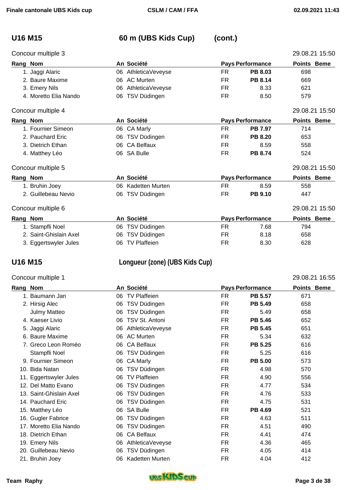### Concour multiple 3 29.08.21 15:50

# **U16 M15 60 m (UBS Kids Cup) (cont.)**

|          | oonoodi manipio o      |    |                     |           |                         | 20.00.21 10.00     |
|----------|------------------------|----|---------------------|-----------|-------------------------|--------------------|
| Rang Nom |                        |    | An Société          |           | <b>Pays Performance</b> | <b>Points Beme</b> |
|          | 1. Jaggi Alaric        | 06 | AthleticaVeveyse    | FR.       | <b>PB 8.03</b>          | 698                |
|          | 2. Baure Maxime        | 06 | AC Murten           | <b>FR</b> | <b>PB 8.14</b>          | 669                |
|          | 3. Emery Nils          | 06 | AthleticaVeveyse    | <b>FR</b> | 8.33                    | 621                |
|          | 4. Moretto Elia Nando  | 06 | TSV Düdingen        | FR.       | 8.50                    | 579                |
|          | Concour multiple 4     |    |                     |           |                         | 29.08.21 15:50     |
| Rang Nom |                        |    | An Société          |           | <b>Pays Performance</b> | <b>Points Beme</b> |
|          | 1. Fournier Simeon     | 06 | CA Marly            | <b>FR</b> | <b>PB 7.97</b>          | 714                |
|          | 2. Pauchard Eric       | 06 | TSV Düdingen        | FR.       | <b>PB 8.20</b>          | 653                |
|          | 3. Dietrich Ethan      | 06 | <b>CA Belfaux</b>   | FR.       | 8.59                    | 558                |
|          | 4. Matthey Léo         | 06 | <b>SA Bulle</b>     | <b>FR</b> | <b>PB 8.74</b>          | 524                |
|          | Concour multiple 5     |    |                     |           |                         | 29.08.21 15:50     |
| Rang Nom |                        |    | An Société          |           | <b>Pays Performance</b> | <b>Points Beme</b> |
|          | 1. Bruhin Joey         | 06 | Kadetten Murten     | FR.       | 8.59                    | 558                |
|          | 2. Guillebeau Nevio    | 06 | TSV Düdingen        | FR.       | <b>PB 9.10</b>          | 447                |
|          | Concour multiple 6     |    |                     |           |                         | 29.08.21 15:50     |
| Rang Nom |                        |    | An Société          |           | <b>Pays Performance</b> | <b>Points Beme</b> |
|          | 1. Stampfli Noel       | 06 | TSV Düdingen        | FR.       | 7.68                    | 794                |
|          | 2. Saint-Ghislain Axel | 06 | TSV Düdingen        | FR        | 8.18                    | 658                |
|          | 3. Eggertswyler Jules  | 06 | <b>TV Plaffeien</b> | FR        | 8.30                    | 628                |

## **U16 M15 Longueur (zone) (UBS Kids Cup)**

### Concour multiple 1 29.08.21 16:55

| Rang Nom |                         |    | An Société          |           | <b>Pays Performance</b> | <b>Points Beme</b> |  |
|----------|-------------------------|----|---------------------|-----------|-------------------------|--------------------|--|
|          | 1. Baumann Jan          | 06 | <b>TV Plaffeien</b> | <b>FR</b> | <b>PB 5.57</b>          | 671                |  |
|          | 2. Hirsig Alec          | 06 | TSV Düdingen        | <b>FR</b> | PB 5.49                 | 658                |  |
|          | <b>Julmy Matteo</b>     | 06 | TSV Düdingen        | FR        | 5.49                    | 658                |  |
|          | 4. Kaeser Livio         | 06 | TSV St. Antoni      | <b>FR</b> | <b>PB 5.46</b>          | 652                |  |
|          | 5. Jaggi Alaric         | 06 | AthleticaVeveyse    | <b>FR</b> | <b>PB 5.45</b>          | 651                |  |
|          | 6. Baure Maxime         | 06 | <b>AC Murten</b>    | <b>FR</b> | 5.34                    | 632                |  |
|          | 7. Greco Leon Roméo     | 06 | <b>CA Belfaux</b>   | FR.       | <b>PB 5.25</b>          | 616                |  |
|          | Stampfli Noel           | 06 | TSV Düdingen        | FR        | 5.25                    | 616                |  |
|          | 9. Fournier Simeon      | 06 | CA Marly            | <b>FR</b> | <b>PB 5.00</b>          | 573                |  |
|          | 10. Bida Natan          | 06 | TSV Düdingen        | FR        | 4.98                    | 570                |  |
|          | 11. Eggertswyler Jules  | 06 | <b>TV Plaffeien</b> | <b>FR</b> | 4.90                    | 556                |  |
|          | 12. Del Matto Evano     | 06 | TSV Düdingen        | <b>FR</b> | 4.77                    | 534                |  |
|          | 13. Saint-Ghislain Axel | 06 | TSV Düdingen        | <b>FR</b> | 4.76                    | 533                |  |
|          | 14. Pauchard Eric       | 06 | TSV Düdingen        | <b>FR</b> | 4.75                    | 531                |  |
|          | 15. Matthey Léo         | 06 | <b>SA Bulle</b>     | FR        | PB 4.69                 | 521                |  |
|          | 16. Gugler Fabrice      | 06 | TSV Düdingen        | <b>FR</b> | 4.63                    | 511                |  |
|          | 17. Moretto Elia Nando  | 06 | TSV Düdingen        | <b>FR</b> | 4.51                    | 490                |  |
|          | 18. Dietrich Ethan      | 06 | <b>CA Belfaux</b>   | <b>FR</b> | 4.41                    | 474                |  |
|          | 19. Emery Nils          | 06 | AthleticaVeveyse    | FR        | 4.36                    | 465                |  |
|          | 20. Guillebeau Nevio    | 06 | TSV Düdingen        | <b>FR</b> | 4.05                    | 414                |  |
|          | 21. Bruhin Joey         | 06 | Kadetten Murten     | <b>FR</b> | 4.04                    | 412                |  |

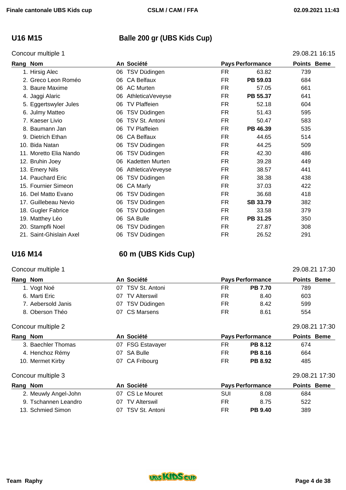## **U16 M15 Balle 200 gr (UBS Kids Cup)**

### Concour multiple 1 29.08.21 16:15

| Rang | <b>Nom</b>              |    | An Société          | <b>Pays Performance</b> |          | <b>Points Beme</b> |  |
|------|-------------------------|----|---------------------|-------------------------|----------|--------------------|--|
|      | 1. Hirsig Alec          | 06 | TSV Düdingen        | FR                      | 63.82    | 739                |  |
|      | 2. Greco Leon Roméo     | 06 | <b>CA Belfaux</b>   | FR.                     | PB 59.03 | 684                |  |
|      | 3. Baure Maxime         | 06 | <b>AC Murten</b>    | <b>FR</b>               | 57.05    | 661                |  |
|      | 4. Jaggi Alaric         | 06 | AthleticaVeveyse    | FR.                     | PB 55.37 | 641                |  |
|      | 5. Eggertswyler Jules   | 06 | <b>TV Plaffeien</b> | <b>FR</b>               | 52.18    | 604                |  |
|      | 6. Julmy Matteo         | 06 | TSV Düdingen        | FR.                     | 51.43    | 595                |  |
|      | 7. Kaeser Livio         | 06 | TSV St. Antoni      | FR.                     | 50.47    | 583                |  |
|      | 8. Baumann Jan          | 06 | <b>TV Plaffeien</b> | FR.                     | PB 46.39 | 535                |  |
|      | 9. Dietrich Ethan       | 06 | <b>CA Belfaux</b>   | FR.                     | 44.65    | 514                |  |
|      | 10. Bida Natan          | 06 | TSV Düdingen        | <b>FR</b>               | 44.25    | 509                |  |
|      | 11. Moretto Elia Nando  | 06 | TSV Düdingen        | FR.                     | 42.30    | 486                |  |
|      | 12. Bruhin Joey         | 06 | Kadetten Murten     | FR.                     | 39.28    | 449                |  |
|      | 13. Emery Nils          | 06 | AthleticaVeveyse    | <b>FR</b>               | 38.57    | 441                |  |
|      | 14. Pauchard Eric       | 06 | TSV Düdingen        | <b>FR</b>               | 38.38    | 438                |  |
|      | 15. Fournier Simeon     | 06 | CA Marly            | FR.                     | 37.03    | 422                |  |
|      | 16. Del Matto Evano     | 06 | TSV Düdingen        | <b>FR</b>               | 36.68    | 418                |  |
|      | 17. Guillebeau Nevio    | 06 | TSV Düdingen        | <b>FR</b>               | SB 33.79 | 382                |  |
|      | 18. Gugler Fabrice      | 06 | TSV Düdingen        | <b>FR</b>               | 33.58    | 379                |  |
|      | 19. Matthey Léo         | 06 | <b>SA Bulle</b>     | <b>FR</b>               | PB 31.25 | 350                |  |
|      | 20. Stampfli Noel       | 06 | TSV Düdingen        | <b>FR</b>               | 27.87    | 308                |  |
|      | 21. Saint-Ghislain Axel | 06 | TSV Düdingen        | <b>FR</b>               | 26.52    | 291                |  |

## **U16 M14 60 m (UBS Kids Cup)**

| Concour multiple 1 |                            |                         |                    | 29.08.21 17:30 |
|--------------------|----------------------------|-------------------------|--------------------|----------------|
| Rang Nom           | An Société                 | <b>Pays Performance</b> | <b>Points Beme</b> |                |
| 1. Vogt Noé        | 07 TSV St. Antoni          | FR.                     | <b>PB 7.70</b>     | 789            |
| 6. Marti Eric      | <b>TV Alterswil</b><br>M7. | FR                      | 8.40               | 603            |

7. Aebersold Janis **CONTING 18 CONTINGER** FR 8.42 599 8. Oberson Théo **07 CS Marsens** FR 8.61 554

| Concour multiple 2   |                            |                             | 29.08.21 17:30     |
|----------------------|----------------------------|-----------------------------|--------------------|
| Rang Nom             | An Société                 | <b>Pays Performance</b>     | <b>Points Beme</b> |
| 3. Baechler Thomas   | <b>FSG Estavayer</b><br>07 | FR<br><b>PB 8.12</b>        | 674                |
| 4. Henchoz Rémy      | <b>SA Bulle</b><br>07      | <b>FR</b><br><b>PB 8.16</b> | 664                |
| 10. Mermet Kirby     | 07 CA Fribourg             | FR<br><b>PB 8.92</b>        | 485                |
| Concour multiple 3   |                            |                             | 29.08.21 17:30     |
| Rang Nom             | An Société                 | <b>Pays Performance</b>     | <b>Points Beme</b> |
| 2. Meuwly Angel-John | CS Le Mouret<br>07.        | SUI<br>8.08                 | 684                |
| 9. Tschannen Leandro | <b>TV Alterswil</b><br>07  | FR<br>8.75                  | 522                |

13. Schmied Simon 07 TSV St. Antoni FR **PB 9.40** 389

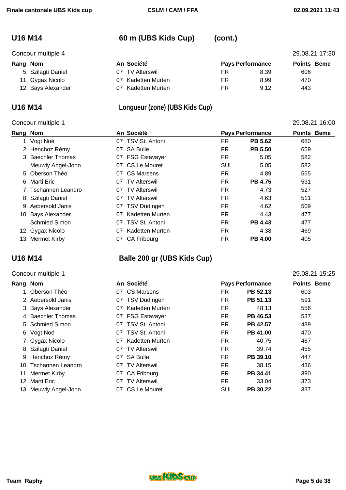## **U16 M14 60 m (UBS Kids Cup) (cont.)**

| Concour multiple 4 | 29.08.21 17:30            |                         |                    |     |  |
|--------------------|---------------------------|-------------------------|--------------------|-----|--|
| Rang Nom           | An Société                | <b>Pays Performance</b> | <b>Points Beme</b> |     |  |
| 5. Szilagti Daniel | <b>TV Alterswil</b><br>07 | FR                      | 8.39               | 606 |  |
| 11. Gygax Nicolo   | Kadetten Murten<br>07     | FR                      | 8.99               | 470 |  |
| 12. Bays Alexander | Kadetten Murten<br>07     | FR                      | 9.12               | 443 |  |

### **U16 M14 Longueur (zone) (UBS Kids Cup)**

### Concour multiple 1 29.08.21 16:00

### **Rang Nom An Société Pays Performance Points Beme**  1. Vogt Noé 07 TSV St. Antoni FR **PB 5.62** 680 2. Henchoz Rémy 07 SA Bulle FR **PB 5.50** 659 3. Baechler Thomas **07 FSG Estavayer** FR 5.05 582 Meuwly Angel-John **07 CS Le Mouret 1988** SUI 5.05 582 5. Oberson Théo 07 CS Marsens FR 4.89 555 6. Marti Eric 07 TV Alterswil FR **PB 4.75** 531 7. Tschannen Leandro 07 TV Alterswil FR 4.73 527 8. Szilagti Daniel **67 TV Alterswil 68 COV EXAM** FR 4.63 511 9. Aebersold Janis **19. ISO 19. ISO 19. ISO 19. ISO 19. ISO 19. ISO 19. ISO 19. ISO 19. ISO 19. ISO 19. ISO 19. ISO 19. ISO 19. ISO 19. ISO 19. ISO 19. ISO 19. ISO 19. ISO 19. ISO 19. ISO 19. ISO 19. ISO 19. ISO 19. ISO 19** 10. Bays Alexander 07 Kadetten Murten FR 4.43 477 Schmied Simon **07 TSV St. Antoni FR PB 4.43** 477 12. Gygax Nicolo 07 Kadetten Murten FR 4.38 469 13. Mermet Kirby 07 CA Fribourg FR **PB 4.00** 405

## **U16 M14 Balle 200 gr (UBS Kids Cup)**

### Concour multiple 1 29.08.21 15:25

| Rang Nom |                       |    | An Société          | <b>Pays Performance</b> |          |     |  |  |  | <b>Points Beme</b> |  |
|----------|-----------------------|----|---------------------|-------------------------|----------|-----|--|--|--|--------------------|--|
|          | 1. Oberson Théo       |    | 07 CS Marsens       | FR                      | PB 52.13 | 603 |  |  |  |                    |  |
|          | 2. Aebersold Janis    | 07 | TSV Düdingen        | FR.                     | PB 51.13 | 591 |  |  |  |                    |  |
|          | 3. Bays Alexander     | 07 | Kadetten Murten     | FR                      | 48.13    | 556 |  |  |  |                    |  |
|          | 4. Baechler Thomas    |    | 07 FSG Estavayer    | FR                      | PB 46.53 | 537 |  |  |  |                    |  |
|          | 5. Schmied Simon      |    | 07 TSV St. Antoni   | FR                      | PB 42.57 | 489 |  |  |  |                    |  |
|          | 6. Vogt Noé           | 07 | TSV St. Antoni      | FR.                     | PB 41.00 | 470 |  |  |  |                    |  |
|          | 7. Gygax Nicolo       | 07 | Kadetten Murten     | FR                      | 40.75    | 467 |  |  |  |                    |  |
|          | 8. Szilagti Daniel    |    | 07 TV Alterswil     | FR                      | 39.74    | 455 |  |  |  |                    |  |
|          | 9. Henchoz Rémy       |    | 07 SA Bulle         | FR                      | PB 39.10 | 447 |  |  |  |                    |  |
|          | 10. Tschannen Leandro | 07 | <b>TV Alterswil</b> | FR                      | 38.15    | 436 |  |  |  |                    |  |
|          | 11. Mermet Kirby      |    | 07 CA Fribourg      | FR                      | PB 34.41 | 390 |  |  |  |                    |  |
|          | 12. Marti Eric        | 07 | <b>TV Alterswil</b> | FR                      | 33.04    | 373 |  |  |  |                    |  |
|          | 13. Meuwly Angel-John |    | 07 CS Le Mouret     | SUI                     | PB 30.22 | 337 |  |  |  |                    |  |

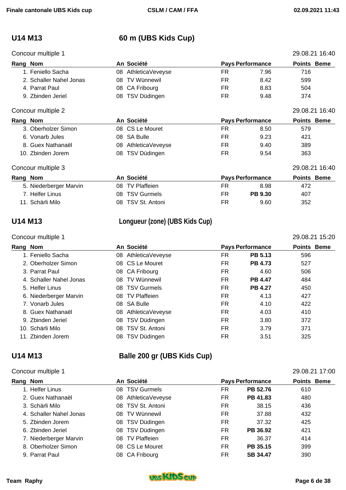### Concour multiple 1  $\overline{29.08.21.16:40}$

## **U14 M13 60 m (UBS Kids Cup)**

| oonoodi manpo i         |    |                     |     |                         | 20.00.21 10.10     |
|-------------------------|----|---------------------|-----|-------------------------|--------------------|
| Rang Nom                |    | An Société          |     | <b>Pays Performance</b> | <b>Points Beme</b> |
| 1. Feniello Sacha       | 08 | AthleticaVeveyse    | FR  | 7.96                    | 716                |
| 2. Schaller Nahel Jonas | 08 | <b>TV Wünnewil</b>  | FR. | 8.42                    | 599                |
| 4. Parrat Paul          | 08 | CA Fribourg         | FR. | 8.83                    | 504                |
| 9. Zbinden Jeriel       | 08 | TSV Düdingen        | FR  | 9.48                    | 374                |
| Concour multiple 2      |    |                     |     |                         | 29.08.21 16:40     |
| Rang Nom                |    | An Société          |     | <b>Pays Performance</b> | <b>Points Beme</b> |
| 3. Oberholzer Simon     |    | 08 CS Le Mouret     | FR  | 8.50                    | 579                |
| 6. Vonarb Jules         | 08 | <b>SA Bulle</b>     | FR  | 9.23                    | 421                |
| 8. Guex Nathanaël       | 08 | AthleticaVeveyse    | FR  | 9.40                    | 389                |
| 10. Zbinden Jorem       | 08 | TSV Düdingen        | FR. | 9.54                    | 363                |
| Concour multiple 3      |    |                     |     |                         | 29.08.21 16:40     |
| Rang Nom                |    | An Société          |     | <b>Pays Performance</b> | <b>Points Beme</b> |
| 5. Niederberger Marvin  | 08 | <b>TV Plaffeien</b> | FR  | 8.98                    | 472                |
| 7. Helfer Linus         | 08 | <b>TSV Gurmels</b>  | FR  | <b>PB 9.30</b>          | 407                |
| 11. Schärli Milo        | 08 | TSV St. Antoni      | FR  | 9.60                    | 352                |

## **U14 M13 Longueur (zone) (UBS Kids Cup)**

### Concour multiple 1 29.08.21 15:20

| Rang Nom |                         |     | An Société          |     | <b>Pays Performance</b> | <b>Points Beme</b> |  |
|----------|-------------------------|-----|---------------------|-----|-------------------------|--------------------|--|
|          | 1. Feniello Sacha       | 08  | AthleticaVeveyse    | FR  | <b>PB 5.13</b>          | 596                |  |
|          | 2. Oberholzer Simon     |     | 08 CS Le Mouret     | FR. | <b>PB 4.73</b>          | 527                |  |
|          | 3. Parrat Paul          |     | 08 CA Fribourg      | FR  | 4.60                    | 506                |  |
|          | 4. Schaller Nahel Jonas | 08. | TV Wünnewil         | FR. | <b>PB 4.47</b>          | 484                |  |
|          | 5. Helfer Linus         | 08  | <b>TSV Gurmels</b>  | FR. | <b>PB 4.27</b>          | 450                |  |
|          | 6. Niederberger Marvin  | 08. | <b>TV Plaffeien</b> | FR  | 4.13                    | 427                |  |
|          | 7. Vonarb Jules         |     | 08 SA Bulle         | FR. | 4.10                    | 422                |  |
|          | 8. Guex Nathanaël       | 08  | AthleticaVeveyse    | FR  | 4.03                    | 410                |  |
|          | 9. Zbinden Jeriel       | 08  | TSV Düdingen        | FR  | 3.80                    | 372                |  |
|          | 10. Schärli Milo        | 08. | TSV St. Antoni      | FR. | 3.79                    | 371                |  |
|          | 11. Zbinden Jorem       | 08  | TSV Düdingen        | FR  | 3.51                    | 325                |  |

## **U14 M13 Balle 200 gr (UBS Kids Cup)**

### Concour multiple 1 29.08.21 17:00

| Rang Nom                | An Société          | <b>Pays Performance</b> | <b>Points Beme</b> |
|-------------------------|---------------------|-------------------------|--------------------|
| 1. Helfer Linus         | 08 TSV Gurmels      | PB 52.76<br>FR          | 610                |
| 2. Guex Nathanaël       | 08 AthleticaVeveyse | FR<br>PB 41.83          | 480                |
| 3. Schärli Milo         | 08 TSV St. Antoni   | FR<br>38.15             | 436                |
| 4. Schaller Nahel Jonas | 08 TV Wünnewil      | FR<br>37.88             | 432                |
| 5. Zbinden Jorem        | 08 TSV Düdingen     | <b>FR</b><br>37.32      | 425                |
| 6. Zbinden Jeriel       | 08 TSV Düdingen     | FR.<br>PB 36.92         | 421                |
| 7. Niederberger Marvin  | 08 TV Plaffeien     | <b>FR</b><br>36.37      | 414                |
| 8. Oberholzer Simon     | 08 CS Le Mouret     | FR<br>PB 35.15          | 399                |
| 9. Parrat Paul          | 08 CA Fribourg      | FR.<br><b>SB 34.47</b>  | 390                |

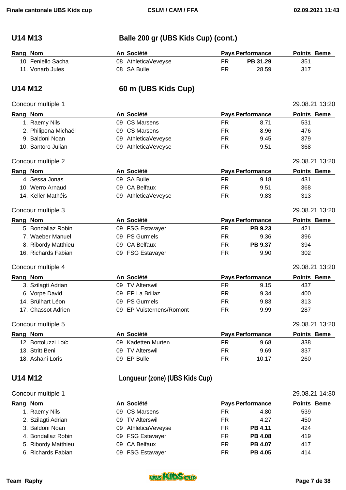# **U14 M13 Balle 200 gr (UBS Kids Cup) (cont.)**

| Rang Nom |                    | An Société          |    | <b>Pays Performance</b> | <b>Points Beme</b> |  |
|----------|--------------------|---------------------|----|-------------------------|--------------------|--|
|          | 10. Feniello Sacha | 08 AthleticaVeveyse | FR | PB 31.29                | 351                |  |
|          | 11. Vonarb Jules   | 08 SA Bulle         | FR | 28.59                   | 317                |  |

## **U14 M12 60 m (UBS Kids Cup)**

### Concour multiple 1 29.08.21 13:20

| Rang Nom |                      |    | An Société            |           | <b>Pays Performance</b> | <b>Points Beme</b> |  |
|----------|----------------------|----|-----------------------|-----------|-------------------------|--------------------|--|
|          | 1. Raemy Nils        | 09 | <b>CS Marsens</b>     | <b>FR</b> | 8.71                    | 531                |  |
|          | 2. Philipona Michaël |    | 09 CS Marsens         | <b>FR</b> | 8.96                    | 476                |  |
|          | 9. Baldoni Noan      |    | 09 AthleticaVeveyse   | <b>FR</b> | 9.45                    | 379                |  |
|          | 10. Santoro Julian   |    | 09 AthleticaVeveyse   | <b>FR</b> | 9.51                    | 368                |  |
|          | Concour multiple 2   |    |                       |           |                         | 29.08.21 13:20     |  |
| Rang Nom |                      |    | An Société            |           | <b>Pays Performance</b> | <b>Points Beme</b> |  |
|          | 4. Sessa Jonas       |    | 09 SA Bulle           | FR.       | 9.18                    | 431                |  |
|          | 10. Werro Arnaud     |    | 09 CA Belfaux         | <b>FR</b> | 9.51                    | 368                |  |
|          | 14. Keller Mathéis   |    | 09 AthleticaVeveyse   | <b>FR</b> | 9.83                    | 313                |  |
|          | Concour multiple 3   |    |                       |           |                         | 29.08.21 13:20     |  |
| Rang Nom |                      |    | An Société            |           | <b>Pays Performance</b> | <b>Points Beme</b> |  |
|          | 5. Bondallaz Robin   |    | 09 FSG Estavayer      | <b>FR</b> | PB 9.23                 | 421                |  |
|          | 7. Waeber Manuel     |    | 09 PS Gurmels         | <b>FR</b> | 9.36                    | 396                |  |
|          | 8. Ribordy Matthieu  | 09 | <b>CA Belfaux</b>     | <b>FR</b> | PB 9.37                 | 394                |  |
|          | 16. Richards Fabian  |    | 09 FSG Estavayer      | FR.       | 9.90                    | 302                |  |
|          | Concour multiple 4   |    |                       |           |                         | 29.08.21 13:20     |  |
| Rang Nom |                      |    | An Société            |           | <b>Pays Performance</b> | <b>Points Beme</b> |  |
|          | 3. Szilagti Adrian   |    | 09 TV Alterswil       | <b>FR</b> | 9.15                    | 437                |  |
|          | 6. Vorpe David       | 09 | EP La Brillaz         | <b>FR</b> | 9.34                    | 400                |  |
|          | 14. Brülhart Léon    |    | 09 PS Gurmels         | <b>FR</b> | 9.83                    | 313                |  |
|          | 17. Chassot Adrien   | 09 | EP Vuisternens/Romont | <b>FR</b> | 9.99                    | 287                |  |
|          | Concour multiple 5   |    |                       |           |                         | 29.08.21 13:20     |  |
| Rang Nom |                      |    | An Société            |           | <b>Pays Performance</b> | <b>Points Beme</b> |  |
|          | 12. Bortoluzzi Loïc  | 09 | Kadetten Murten       | <b>FR</b> | 9.68                    | 338                |  |
|          | 13. Stritt Beni      | 09 | <b>TV Alterswil</b>   | <b>FR</b> | 9.69                    | 337                |  |
|          | 18. Ashani Loris     | 09 | EP Bulle              | <b>FR</b> | 10.17                   | 260                |  |

## **U14 M12 Longueur (zone) (UBS Kids Cup)**

| Concour multiple 1  | 29.08.21 14:30             |    |                         |                    |
|---------------------|----------------------------|----|-------------------------|--------------------|
| Rang Nom            | An Société                 |    | <b>Pays Performance</b> | <b>Points Beme</b> |
| 1. Raemy Nils       | 09 CS Marsens              | FR | 4.80                    | 539                |
| 2. Szilagti Adrian  | <b>TV Alterswil</b><br>09. | FR | 4.27                    | 450                |
| 3. Baldoni Noan     | AthleticaVeveyse<br>09.    | FR | <b>PB 4.11</b>          | 424                |
| 4. Bondallaz Robin  | 09 FSG Estavayer           | FR | <b>PB 4.08</b>          | 419                |
| 5. Ribordy Matthieu | 09 CA Belfaux              | FR | <b>PB 4.07</b>          | 417                |
| 6. Richards Fabian  | 09 FSG Estavayer           | FR | <b>PB 4.05</b>          | 414                |

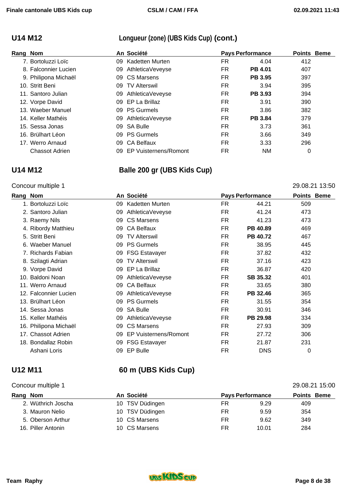## **U14 M12 Longueur (zone) (UBS Kids Cup) (cont.)**

| Rang Nom |                       | An Société |                       | <b>Pays Performance</b> |                | <b>Points Beme</b> |  |
|----------|-----------------------|------------|-----------------------|-------------------------|----------------|--------------------|--|
|          | 7. Bortoluzzi Loïc    | 09.        | Kadetten Murten       | FR                      | 4.04           | 412                |  |
|          | 8. Falconnier Lucien  | 09         | AthleticaVeveyse      | FR                      | <b>PB 4.01</b> | 407                |  |
|          | 9. Philipona Michaël  |            | 09 CS Marsens         | FR                      | <b>PB 3.95</b> | 397                |  |
|          | 10. Stritt Beni       | 09         | <b>TV Alterswil</b>   | FR                      | 3.94           | 395                |  |
|          | 11. Santoro Julian    | 09         | AthleticaVeveyse      | FR                      | <b>PB 3.93</b> | 394                |  |
|          | 12. Vorpe David       |            | 09 EP La Brillaz      | FR                      | 3.91           | 390                |  |
|          | 13. Waeber Manuel     |            | 09 PS Gurmels         | FR                      | 3.86           | 382                |  |
|          | 14. Keller Mathéis    | 09         | AthleticaVeveyse      | FR                      | <b>PB 3.84</b> | 379                |  |
|          | 15. Sessa Jonas       | 09         | SA Bulle              | FR                      | 3.73           | 361                |  |
|          | 16. Brülhart Léon     | 09         | <b>PS Gurmels</b>     | FR                      | 3.66           | 349                |  |
|          | 17. Werro Arnaud      | 09.        | <b>CA Belfaux</b>     | FR                      | 3.33           | 296                |  |
|          | <b>Chassot Adrien</b> | 09         | EP Vuisternens/Romont | FR                      | NM.            | 0                  |  |

## **U14 M12 Balle 200 gr (UBS Kids Cup)**

## Concour multiple 1 29.08.21 13:50

| Rang | <b>Nom</b>            |    | An Société            |           | <b>Pays Performance</b> | <b>Points Beme</b> |  |
|------|-----------------------|----|-----------------------|-----------|-------------------------|--------------------|--|
|      | 1. Bortoluzzi Loïc    | 09 | Kadetten Murten       | <b>FR</b> | 44.21                   | 509                |  |
|      | 2. Santoro Julian     | 09 | AthleticaVeveyse      | <b>FR</b> | 41.24                   | 473                |  |
|      | 3. Raemy Nils         | 09 | <b>CS Marsens</b>     | FR.       | 41.23                   | 473                |  |
|      | 4. Ribordy Matthieu   | 09 | <b>CA Belfaux</b>     | FR.       | PB 40.89                | 469                |  |
|      | 5. Stritt Beni        | 09 | <b>TV Alterswil</b>   | FR.       | PB 40.72                | 467                |  |
|      | 6. Waeber Manuel      | 09 | <b>PS Gurmels</b>     | FR.       | 38.95                   | 445                |  |
|      | 7. Richards Fabian    | 09 | <b>FSG Estavayer</b>  | FR.       | 37.82                   | 432                |  |
|      | 8. Szilagti Adrian    | 09 | <b>TV Alterswil</b>   | FR.       | 37.16                   | 423                |  |
|      | 9. Vorpe David        | 09 | EP La Brillaz         | FR.       | 36.87                   | 420                |  |
|      | 10. Baldoni Noan      | 09 | AthleticaVeveyse      | FR.       | SB 35.32                | 401                |  |
|      | 11. Werro Arnaud      | 09 | <b>CA Belfaux</b>     | FR.       | 33.65                   | 380                |  |
|      | 12. Falconnier Lucien | 09 | AthleticaVeveyse      | FR.       | PB 32.46                | 365                |  |
|      | 13. Brülhart Léon     | 09 | <b>PS Gurmels</b>     | FR.       | 31.55                   | 354                |  |
|      | 14. Sessa Jonas       | 09 | <b>SA Bulle</b>       | FR.       | 30.91                   | 346                |  |
|      | 15. Keller Mathéis    | 09 | AthleticaVeveyse      | FR.       | PB 29.98                | 334                |  |
|      | 16. Philipona Michaël | 09 | CS Marsens            | FR.       | 27.93                   | 309                |  |
|      | 17. Chassot Adrien    | 09 | EP Vuisternens/Romont | FR.       | 27.72                   | 306                |  |
|      | 18. Bondallaz Robin   | 09 | <b>FSG Estavayer</b>  | FR.       | 21.87                   | 231                |  |
|      | Ashani Loris          | 09 | EP Bulle              | <b>FR</b> | <b>DNS</b>              | 0                  |  |

## **U12 M11 60 m (UBS Kids Cup)**

### Concour multiple 1 29.08.21 15:00

| Rang Nom |                    | An Société      |    | <b>Pays Performance</b> | <b>Points Beme</b> |
|----------|--------------------|-----------------|----|-------------------------|--------------------|
|          | 2. Wüthrich Joscha | 10 TSV Düdingen | FR | 9.29                    | 409                |
|          | 3. Mauron Nelio    | 10 TSV Düdingen | FR | 9.59                    | 354                |
|          | 5. Oberson Arthur  | 10 CS Marsens   | FR | 9.62                    | 349                |
|          | 16. Piller Antonin | 10 CS Marsens   | FR | 10.01                   | 284                |

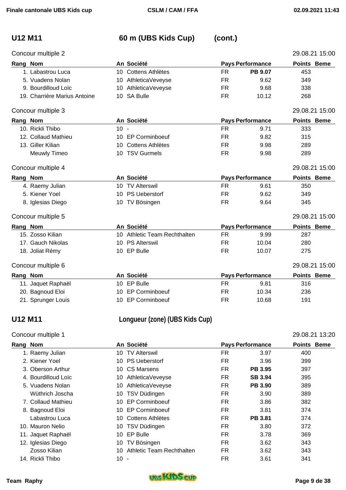# **U12 M11 60 m (UBS Kids Cup) (cont.)**

|          | Concour multiple 2           |        |                              |           |                         | 29.08.21 15:00     |
|----------|------------------------------|--------|------------------------------|-----------|-------------------------|--------------------|
| Rang Nom |                              |        | An Société                   |           | <b>Pays Performance</b> | <b>Points Beme</b> |
|          | 1. Labastrou Luca            |        | 10 Cottens Athlètes          | <b>FR</b> | PB 9.07                 | 453                |
|          | 5. Vuadens Nolan             |        | 10 AthleticaVeveyse          | <b>FR</b> | 9.62                    | 349                |
|          | 9. Bourdilloud Loïc          |        | 10 AthleticaVeveyse          | FR.       | 9.68                    | 338                |
|          | 19. Charrière Marius Antoine |        | 10 SA Bulle                  | <b>FR</b> | 10.12                   | 268                |
|          | Concour multiple 3           |        |                              |           |                         | 29.08.21 15:00     |
| Rang Nom |                              |        | An Société                   |           | <b>Pays Performance</b> | Points Beme        |
|          | 10. Rickli Thibo             | $10 -$ |                              | <b>FR</b> | 9.71                    | 333                |
|          | 12. Collaud Mathieu          |        | 10 EP Corminboeuf            | <b>FR</b> | 9.82                    | 315                |
|          | 13. Giller Kilian            | 10     | Cottens Athlètes             | <b>FR</b> | 9.98                    | 289                |
|          | Meuwly Timeo                 |        | 10 TSV Gurmels               | FR.       | 9.98                    | 289                |
|          | Concour multiple 4           |        |                              |           |                         | 29.08.21 15:00     |
| Rang Nom |                              |        | An Société                   |           | <b>Pays Performance</b> | <b>Points Beme</b> |
|          | 4. Raemy Julian              |        | 10 TV Alterswil              | <b>FR</b> | 9.61                    | 350                |
|          | 5. Kiener Yoel               |        | 10 PS Ueberstorf             | FR.       | 9.62                    | 349                |
|          | 8. Iglesias Diego            |        | 10 TV Bösingen               | <b>FR</b> | 9.64                    | 345                |
|          | Concour multiple 5           |        |                              |           |                         | 29.08.21 15:00     |
| Rang Nom |                              |        | An Société                   |           | <b>Pays Performance</b> | <b>Points Beme</b> |
|          | 15. Zosso Kilian             |        | 10 Athletic Team Rechthalten | FR.       | 9.99                    | 287                |
|          | 17. Gauch Nikolas            |        | 10 PS Alterswil              | <b>FR</b> | 10.04                   | 280                |
|          | 18. Joliat Rémy              |        | 10 EP Bulle                  | FR.       | 10.07                   | 275                |
|          | Concour multiple 6           |        |                              |           |                         | 29.08.21 15:00     |
| Rang Nom |                              |        | An Société                   |           | <b>Pays Performance</b> | Points Beme        |
|          | 11. Jaquet Raphaël           |        | 10 EP Bulle                  | FR.       | 9.81                    | 316                |
|          | 20. Bagnoud Eloi             | 10     | <b>EP Corminboeuf</b>        | FR.       | 10.34                   | 236                |
|          | 21. Sprunger Louis           |        | 10 EP Corminboeuf            | <b>FR</b> | 10.68                   | 191                |
|          |                              |        |                              |           |                         |                    |

# **U12 M11 Longueur (zone) (UBS Kids Cup)**

## Concour multiple 1 29.08.21 13:20

| Rang | An Société<br><b>Pays Performance</b><br><b>Nom</b> |        |                           | <b>Points Beme</b> |                |     |  |
|------|-----------------------------------------------------|--------|---------------------------|--------------------|----------------|-----|--|
|      | 1. Raemy Julian                                     | 10     | <b>TV Alterswil</b>       | FR                 | 3.97           | 400 |  |
|      | 2. Kiener Yoel                                      | 10.    | <b>PS Ueberstorf</b>      | FR                 | 3.96           | 399 |  |
|      | 3. Oberson Arthur                                   | 10     | CS Marsens                | FR                 | PB 3.95        | 397 |  |
|      | 4. Bourdilloud Loïc                                 | 10.    | AthleticaVeveyse          | FR                 | <b>SB 3.94</b> | 395 |  |
|      | 5. Vuadens Nolan                                    | 10     | AthleticaVeveyse          | FR                 | <b>PB 3.90</b> | 389 |  |
|      | Wüthrich Joscha                                     | 10.    | TSV Düdingen              | FR                 | 3.90           | 389 |  |
|      | 7. Collaud Mathieu                                  | 10.    | <b>EP Corminboeuf</b>     | FR.                | 3.86           | 382 |  |
|      | 8. Bagnoud Eloi                                     | 10.    | <b>EP Corminboeuf</b>     | FR                 | 3.81           | 374 |  |
|      | Labastrou Luca                                      | 10     | Cottens Athlètes          | FR                 | <b>PB 3.81</b> | 374 |  |
|      | 10. Mauron Nelio                                    |        | 10 TSV Düdingen           | FR                 | 3.80           | 372 |  |
|      | 11. Jaquet Raphaël                                  | 10     | EP Bulle                  | FR.                | 3.78           | 369 |  |
|      | 12. Iglesias Diego                                  |        | 10 TV Bösingen            | FR                 | 3.62           | 343 |  |
|      | Zosso Kilian                                        | 10     | Athletic Team Rechthalten | FR                 | 3.62           | 343 |  |
|      | 14. Rickli Thibo                                    | $10 -$ |                           | FR                 | 3.61           | 341 |  |

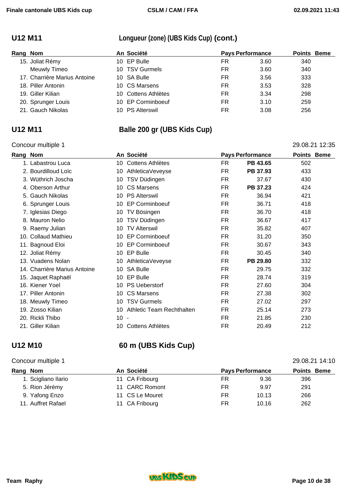## **U12 M11 Longueur (zone) (UBS Kids Cup) (cont.)**

| Rang Nom |                              | An Société          |           | <b>Pays Performance</b> | <b>Points Beme</b> |
|----------|------------------------------|---------------------|-----------|-------------------------|--------------------|
|          | 15. Joliat Rémy              | 10 EP Bulle         | FR        | 3.60                    | 340                |
|          | Meuwly Timeo                 | 10 TSV Gurmels      | FR        | 3.60                    | 340                |
|          | 17. Charrière Marius Antoine | 10 SA Bulle         | FR        | 3.56                    | 333                |
|          | 18. Piller Antonin           | 10 CS Marsens       | FR        | 3.53                    | 328                |
|          | 19. Giller Kilian            | 10 Cottens Athlètes | FR        | 3.34                    | 298                |
|          | 20. Sprunger Louis           | 10 EP Corminboeuf   | FR        | 3.10                    | 259                |
|          | 21. Gauch Nikolas            | 10 PS Alterswil     | <b>FR</b> | 3.08                    | 256                |

### Concour multiple 1 29.08.21 12:35

# **U12 M11 Balle 200 gr (UBS Kids Cup)**

| Rang | <b>Nom</b>                   |        | An Société                |           | <b>Pays Performance</b> | <b>Points Beme</b> |  |
|------|------------------------------|--------|---------------------------|-----------|-------------------------|--------------------|--|
|      | 1. Labastrou Luca            | 10     | Cottens Athlètes          | <b>FR</b> | PB 43.65                | 502                |  |
|      | 2. Bourdilloud Loïc          | 10     | AthleticaVeveyse          | <b>FR</b> | PB 37.93                | 433                |  |
|      | 3. Wüthrich Joscha           | 10     | TSV Düdingen              | FR.       | 37.67                   | 430                |  |
|      | 4. Oberson Arthur            | 10     | <b>CS Marsens</b>         | <b>FR</b> | PB 37.23                | 424                |  |
|      | 5. Gauch Nikolas             | 10     | <b>PS Alterswil</b>       | <b>FR</b> | 36.94                   | 421                |  |
|      | 6. Sprunger Louis            | 10     | <b>EP Corminboeuf</b>     | FR.       | 36.71                   | 418                |  |
|      | 7. Iglesias Diego            | 10     | TV Bösingen               | <b>FR</b> | 36.70                   | 418                |  |
|      | 8. Mauron Nelio              | 10     | TSV Düdingen              | <b>FR</b> | 36.67                   | 417                |  |
|      | 9. Raemy Julian              | 10     | <b>TV Alterswil</b>       | FR.       | 35.82                   | 407                |  |
|      | 10. Collaud Mathieu          | 10     | <b>EP Corminboeuf</b>     | <b>FR</b> | 31.20                   | 350                |  |
|      | 11. Bagnoud Eloi             | 10     | <b>EP Corminboeuf</b>     | <b>FR</b> | 30.67                   | 343                |  |
|      | 12. Joliat Rémy              | 10     | EP Bulle                  | <b>FR</b> | 30.45                   | 340                |  |
|      | 13. Vuadens Nolan            | 10     | AthleticaVeveyse          | <b>FR</b> | PB 29.80                | 332                |  |
|      | 14. Charrière Marius Antoine | 10     | <b>SA Bulle</b>           | <b>FR</b> | 29.75                   | 332                |  |
|      | 15. Jaquet Raphaël           | 10     | EP Bulle                  | FR.       | 28.74                   | 319                |  |
|      | 16. Kiener Yoel              | 10     | <b>PS Ueberstorf</b>      | FR.       | 27.60                   | 304                |  |
|      | 17. Piller Antonin           | 10     | <b>CS Marsens</b>         | <b>FR</b> | 27.38                   | 302                |  |
|      | 18. Meuwly Timeo             | 10     | <b>TSV Gurmels</b>        | <b>FR</b> | 27.02                   | 297                |  |
|      | 19. Zosso Kilian             | 10     | Athletic Team Rechthalten | FR.       | 25.14                   | 273                |  |
|      | 20. Rickli Thibo             | $10 -$ |                           | <b>FR</b> | 21.85                   | 230                |  |
|      | 21. Giller Kilian            | 10     | Cottens Athlètes          | <b>FR</b> | 20.49                   | 212                |  |
|      |                              |        |                           |           |                         |                    |  |

## **U12 M10 60 m (UBS Kids Cup)**

## Concour multiple 1 29.08.21 14:10

| Rang Nom            | An Société      | <b>Pays Performance</b> | <b>Points Beme</b> |     |
|---------------------|-----------------|-------------------------|--------------------|-----|
| 1. Scigliano Ilario | 11 CA Fribourg  | FR                      | 9.36               | 396 |
| 5. Rion Jérémy      | 11 CARC Romont  | FR                      | 9.97               | 291 |
| 9. Yafong Enzo      | 11 CS Le Mouret | FR                      | 10.13              | 266 |
| 11. Auffret Rafael  | 11 CA Fribourg  | FR                      | 10.16              | 262 |

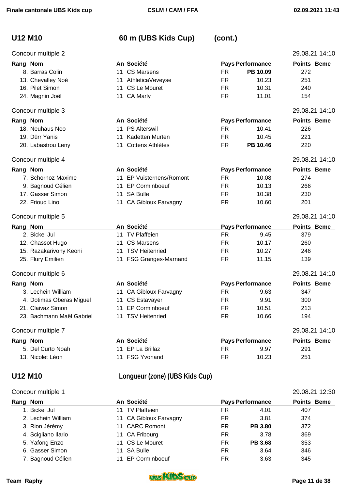### Concour multiple 2 29.08.21 14:10

# **U12 M10 60 m (UBS Kids Cup) (cont.)**

| Rang Nom |                           |    | An Société                 |           | <b>Pays Performance</b> | <b>Points Beme</b> |
|----------|---------------------------|----|----------------------------|-----------|-------------------------|--------------------|
|          | 8. Barras Colin           |    | 11 CS Marsens              | <b>FR</b> | PB 10.09                | 272                |
|          | 13. Chevalley Noé         | 11 | AthleticaVeveyse           | <b>FR</b> | 10.23                   | 251                |
|          | 16. Pilet Simon           |    | 11 CS Le Mouret            | FR.       | 10.31                   | 240                |
|          | 24. Magnin Joël           |    | 11 CA Marly                | <b>FR</b> | 11.01                   | 154                |
|          | Concour multiple 3        |    |                            |           |                         | 29.08.21 14:10     |
| Rang Nom |                           |    | An Société                 |           | <b>Pays Performance</b> | Points Beme        |
|          | 18. Neuhaus Neo           | 11 | <b>PS Alterswil</b>        | <b>FR</b> | 10.41                   | 226                |
|          | 19. Dürr Yanis            | 11 | <b>Kadetten Murten</b>     | FR.       | 10.45                   | 221                |
|          | 20. Labastrou Leny        |    | 11 Cottens Athlètes        | FR.       | PB 10.46                | 220                |
|          | Concour multiple 4        |    |                            |           |                         | 29.08.21 14:10     |
| Rang Nom |                           |    | An Société                 |           | <b>Pays Performance</b> | Points Beme        |
|          | 7. Schornoz Maxime        |    | 11 EP Vuisternens/Romont   | FR        | 10.08                   | 274                |
|          | 9. Bagnoud Célien         | 11 | <b>EP Corminboeuf</b>      | FR.       | 10.13                   | 266                |
|          | 17. Gasser Simon          | 11 | <b>SA Bulle</b>            | <b>FR</b> | 10.38                   | 230                |
|          | 22. Frioud Lino           |    | 11 CA Gibloux Farvagny     | <b>FR</b> | 10.60                   | 201                |
|          | Concour multiple 5        |    |                            |           |                         | 29.08.21 14:10     |
| Rang Nom |                           |    | An Société                 |           | <b>Pays Performance</b> | <b>Points Beme</b> |
|          | 2. Bickel Jul             |    | 11 TV Plaffeien            | <b>FR</b> | 9.45                    | 379                |
|          | 12. Chassot Hugo          | 11 | <b>CS Marsens</b>          | <b>FR</b> | 10.17                   | 260                |
|          | 15. Razakarivony Keoni    | 11 | <b>TSV Heitenried</b>      | <b>FR</b> | 10.27                   | 246                |
|          | 25. Flury Emilien         | 11 | <b>FSG Granges-Marnand</b> | <b>FR</b> | 11.15                   | 139                |
|          | Concour multiple 6        |    |                            |           |                         | 29.08.21 14:10     |
| Rang Nom |                           |    | An Société                 |           | <b>Pays Performance</b> | <b>Points Beme</b> |
|          | 3. Lechein William        |    | 11 CA Gibloux Farvagny     | <b>FR</b> | 9.63                    | 347                |
|          | 4. Dotimas Oberas Miguel  |    | 11 CS Estavayer            | FR        | 9.91                    | 300                |
|          | 21. Claivaz Simon         |    | 11 EP Corminboeuf          | <b>FR</b> | 10.51                   | 213                |
|          | 23. Bachmann Maël Gabriel |    | 11 TSV Heitenried          | FR        | 10.66                   | 194                |
|          | Concour multiple 7        |    |                            |           |                         | 29.08.21 14:10     |
| Rang Nom |                           |    | An Société                 |           | <b>Pays Performance</b> | Points Beme        |
|          | 5. Del Curto Noah         |    | 11 EP La Brillaz           | <b>FR</b> | 9.97                    | 291                |
|          | 13. Nicolet Léon          |    | 11 FSG Yvonand             | <b>FR</b> | 10.23                   | 251                |

# **U12 M10 Longueur (zone) (UBS Kids Cup)**

|  | Concour multiple 1 |  |
|--|--------------------|--|
|--|--------------------|--|

| Concour multiple 1  |                        | 29.08.21 12:30 |                         |                    |
|---------------------|------------------------|----------------|-------------------------|--------------------|
| Rang Nom            | An Société             |                | <b>Pays Performance</b> | <b>Points Beme</b> |
| 1. Bickel Jul       | <b>TV Plaffeien</b>    | FR             | 4.01                    | 407                |
| 2. Lechein William  | 11 CA Gibloux Farvagny | FR             | 3.81                    | 374                |
| 3. Rion Jérémy      | 11 CARC Romont         | FR             | <b>PB 3.80</b>          | 372                |
| 4. Scigliano Ilario | 11 CA Fribourg         | FR             | 3.78                    | 369                |
| 5. Yafong Enzo      | 11 CS Le Mouret        | FR             | <b>PB 3.68</b>          | 353                |
| 6. Gasser Simon     | SA Bulle<br>11         | FR             | 3.64                    | 346                |
| 7. Bagnoud Célien   | <b>EP Corminboeuf</b>  | FR             | 3.63                    | 345                |

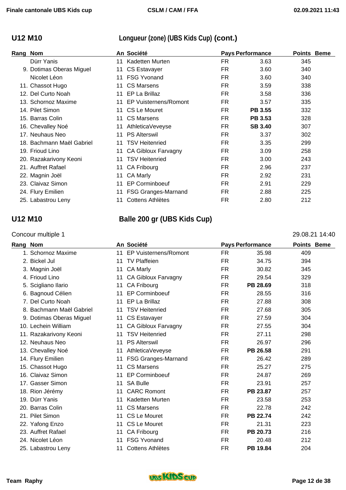## **U12 M10 Longueur (zone) (UBS Kids Cup) (cont.)**

| Rang | <b>Nom</b>                |    | An Société                 | <b>Pays Performance</b> |                | <b>Points Beme</b> |  |
|------|---------------------------|----|----------------------------|-------------------------|----------------|--------------------|--|
|      | Dürr Yanis                |    | 11 Kadetten Murten         | FR.                     | 3.63           | 345                |  |
|      | 9. Dotimas Oberas Miguel  |    | 11 CS Estavayer            | <b>FR</b>               | 3.60           | 340                |  |
|      | Nicolet Léon              | 11 | <b>FSG Yvonand</b>         | <b>FR</b>               | 3.60           | 340                |  |
|      | 11. Chassot Hugo          | 11 | <b>CS Marsens</b>          | <b>FR</b>               | 3.59           | 338                |  |
|      | 12. Del Curto Noah        |    | 11 EP La Brillaz           | FR.                     | 3.58           | 336                |  |
|      | 13. Schornoz Maxime       |    | 11 EP Vuisternens/Romont   | FR.                     | 3.57           | 335                |  |
|      | 14. Pilet Simon           | 11 | CS Le Mouret               | FR.                     | <b>PB 3.55</b> | 332                |  |
|      | 15. Barras Colin          | 11 | <b>CS Marsens</b>          | FR.                     | <b>PB 3.53</b> | 328                |  |
|      | 16. Chevalley Noé         | 11 | AthleticaVeveyse           | FR.                     | <b>SB 3.40</b> | 307                |  |
|      | 17. Neuhaus Neo           | 11 | <b>PS Alterswil</b>        | <b>FR</b>               | 3.37           | 302                |  |
|      | 18. Bachmann Maël Gabriel | 11 | <b>TSV Heitenried</b>      | <b>FR</b>               | 3.35           | 299                |  |
|      | 19. Frioud Lino           | 11 | <b>CA Gibloux Farvagny</b> | <b>FR</b>               | 3.09           | 258                |  |
|      | 20. Razakarivony Keoni    | 11 | <b>TSV Heitenried</b>      | <b>FR</b>               | 3.00           | 243                |  |
|      | 21. Auffret Rafael        | 11 | <b>CA Fribourg</b>         | <b>FR</b>               | 2.96           | 237                |  |
|      | 22. Magnin Joël           | 11 | CA Marly                   | FR.                     | 2.92           | 231                |  |
|      | 23. Claivaz Simon         | 11 | <b>EP Corminboeuf</b>      | FR.                     | 2.91           | 229                |  |
|      | 24. Flury Emilien         | 11 | <b>FSG Granges-Marnand</b> | <b>FR</b>               | 2.88           | 225                |  |
|      | 25. Labastrou Leny        | 11 | <b>Cottens Athlètes</b>    | FR.                     | 2.80           | 212                |  |

### **U12 M10 Balle 200 gr (UBS Kids Cup)**

### Concour multiple 1 29.08.21 14:40

### **Rang Nom An Société Pays Performance Points Beme**  1. Schornoz Maxime 11 EP Vuisternens/Romont FR 35.98 409 2. Bickel Jul 11 TV Plaffeien 11 TV Platteien FR 34.75 394 3. Magnin Joël 11 CA Marly FR 30.82 345 4. Frioud Lino **11 CA Gibloux Farvagny** FR 29.54 329 5. Scigliano Ilario 11 CA Fribourg FR **PB 28.69** 318 6. Bagnoud Célien 11 EP Corminboeuf FR 28.55 316 7. Del Curto Noah 11 EP La Brillaz FR 27.88 308 8. Bachmann Maël Gabriel 11 TSV Heitenried FR 27.68 305 9. Dotimas Oberas Miguel 11 CS Estavayer 6 19 FR 27.59 304 10. Lechein William **11 CA Gibloux Farvagny** FR 27.55 304 11. Razakarivony Keoni 11 TSV Heitenried FR 27.11 298 12. Neuhaus Neo 11 PS Alterswil FR 26.97 296 13. Chevalley Noé 11 AthleticaVeveyse FR **PB 26.58** 291 14. Flury Emilien 11 FSG Granges-Marnand FR 26.42 289 15. Chassot Hugo **11 CS Marsens** FR 25.27 275 16. Claivaz Simon **11 EP Corminboeuf** FR 24.87 269 17. Gasser Simon 11 SA Bulle 11 Server 11 SA Bulle 11 SA Bulle 1257 18. Rion Jérémy **11 CARC Romont** FR PB 23.87 257 19. Dürr Yanis 11 Kadetten Murten FR 23.58 253 20. Barras Colin 11 CS Marsens FR 22.78 242 21. Pilet Simon 11 CS Le Mouret FR **PB 22.74** 242 22. Yafong Enzo 11 CS Le Mouret FR 21.31 223 23. Auffret Rafael 11 CA Fribourg FR **PB 20.73** 216 24. Nicolet Léon 11 FSG Yvonand FR 20.48 212 25. Labastrou Leny 11 Cottens Athlètes FR **PB 19.84** 204

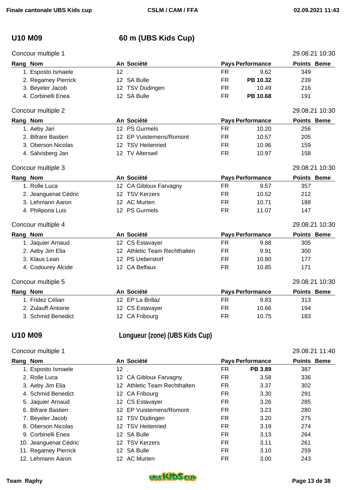# **U10 M09 60 m (UBS Kids Cup)**

| Concour multiple 1   |        |                              |           |                         | 29.08.21 10:30     |  |
|----------------------|--------|------------------------------|-----------|-------------------------|--------------------|--|
| Rang Nom             |        | An Société                   |           | <b>Pays Performance</b> | <b>Points Beme</b> |  |
| 1. Esposto Ismaele   | $12$ . |                              | <b>FR</b> | 9.62                    | 349                |  |
| 2. Regamey Pierrick  |        | 12 SA Bulle                  | <b>FR</b> | PB 10.32                | 239                |  |
| 3. Beyeler Jacob     |        | 12 TSV Düdingen              | <b>FR</b> | 10.49                   | 216                |  |
| 4. Corbinelli Enea   |        | 12 SA Bulle                  | <b>FR</b> | PB 10.68                | 191                |  |
| Concour multiple 2   |        |                              |           |                         | 29.08.21 10:30     |  |
| Rang Nom             |        | An Société                   |           | <b>Pays Performance</b> | <b>Points Beme</b> |  |
| 1. Aeby Jari         |        | 12 PS Gurmels                | <b>FR</b> | 10.20                   | 256                |  |
| 2. Bifrare Bastien   |        | 12 EP Vuisternens/Romont     | <b>FR</b> | 10.57                   | 205                |  |
| 3. Oberson Nicolas   |        | 12 TSV Heitenried            | <b>FR</b> | 10.96                   | 159                |  |
| 4. Salvisberg Jan    |        | 12 TV Alterswil              | <b>FR</b> | 10.97                   | 158                |  |
| Concour multiple 3   |        |                              |           |                         | 29.08.21 10:30     |  |
| Rang Nom             |        | An Société                   |           | <b>Pays Performance</b> | <b>Points Beme</b> |  |
| 1. Rolle Luca        |        | 12 CA Gibloux Farvagny       | <b>FR</b> | 9.57                    | 357                |  |
| 2. Jeanguenat Cédric |        | 12 TSV Kerzers               | <b>FR</b> | 10.52                   | 212                |  |
| 3. Lehmann Aaron     |        | 12 AC Murten                 | <b>FR</b> | 10.71                   | 188                |  |
| 4. Philipona Luis    |        | 12 PS Gurmels                | <b>FR</b> | 11.07                   | 147                |  |
| Concour multiple 4   |        |                              |           |                         | 29.08.21 10:30     |  |
| Rang Nom             |        | An Société                   |           | <b>Pays Performance</b> | <b>Points Beme</b> |  |
| 1. Jaquier Arnaud    |        | 12 CS Estavayer              | <b>FR</b> | 9.88                    | 305                |  |
| 2. Aeby Jim Elia     |        | 12 Athletic Team Rechthalten | <b>FR</b> | 9.91                    | 300                |  |
| 3. Klaus Lean        |        | 12 PS Ueberstorf             | <b>FR</b> | 10.80                   | 177                |  |
| 4. Codourey Alcide   |        | 12 CA Belfaux                | <b>FR</b> | 10.85                   | 171                |  |
| Concour multiple 5   |        |                              |           |                         | 29.08.21 10:30     |  |
| Rang Nom             |        | An Société                   |           | <b>Pays Performance</b> | <b>Points Beme</b> |  |
| 1. Fridez Célian     |        | 12 EP La Brillaz             | <b>FR</b> | 9.83                    | 313                |  |
| 2. Zulauff Antoine   |        | 12 CS Estavayer              | <b>FR</b> | 10.66                   | 194                |  |
| 3. Schmid Benedict   |        | 12 CA Fribourg               | <b>FR</b> | 10.75                   | 183                |  |

## **U10 M09 Longueur (zone) (UBS Kids Cup)**

### Concour multiple 1 29.08.21 11:40

| Rang Nom              |        | An Société                |     | <b>Pays Performance</b> | <b>Points Beme</b> |  |
|-----------------------|--------|---------------------------|-----|-------------------------|--------------------|--|
| 1. Esposto Ismaele    | $12$ . |                           | FR  | PB 3.89                 | 387                |  |
| 2. Rolle Luca         |        | 12 CA Gibloux Farvagny    | FR. | 3.58                    | 336                |  |
| 3. Aeby Jim Elia      | 12.    | Athletic Team Rechthalten | FR  | 3.37                    | 302                |  |
| 4. Schmid Benedict    |        | 12 CA Fribourg            | FR  | 3.30                    | 291                |  |
| 5. Jaquier Arnaud     |        | 12 CS Estavayer           | FR  | 3.26                    | 285                |  |
| 6. Bifrare Bastien    | 12     | EP Vuisternens/Romont     | FR  | 3.23                    | 280                |  |
| 7. Beyeler Jacob      |        | 12 TSV Düdingen           | FR  | 3.20                    | 275                |  |
| 8. Oberson Nicolas    |        | 12 TSV Heitenried         | FR  | 3.19                    | 274                |  |
| 9. Corbinelli Enea    |        | 12 SA Bulle               | FR. | 3.13                    | 264                |  |
| 10. Jeanguenat Cédric |        | 12 TSV Kerzers            | FR  | 3.11                    | 261                |  |
| 11. Regamey Pierrick  |        | 12 SA Bulle               | FR  | 3.10                    | 259                |  |
| 12. Lehmann Aaron     |        | 12 AC Murten              | FR  | 3.00                    | 243                |  |

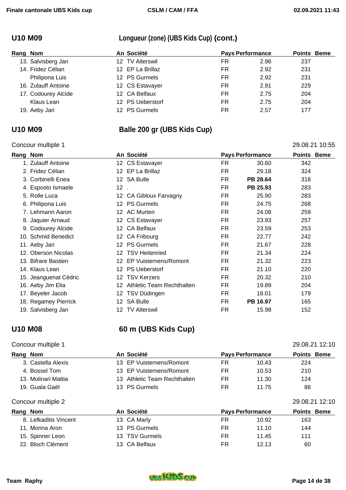## **U10 M09 Longueur (zone) (UBS Kids Cup) (cont.)**

| Rang Nom |                     | An Société       | <b>Pays Performance</b> |      | <b>Points Beme</b> |  |
|----------|---------------------|------------------|-------------------------|------|--------------------|--|
|          | 13. Salvisberg Jan  | 12 TV Alterswil  | FR                      | 2.96 | 237                |  |
|          | 14. Fridez Célian   | 12 EP La Brillaz | FR                      | 2.92 | 231                |  |
|          | Philipona Luis      | 12 PS Gurmels    | FR                      | 2.92 | 231                |  |
|          | 16. Zulauff Antoine | 12 CS Estavayer  | <b>FR</b>               | 2.91 | 229                |  |
|          | 17. Codourey Alcide | 12 CA Belfaux    | FR                      | 2.75 | 204                |  |
|          | Klaus Lean          | 12 PS Ueberstorf | FR                      | 2.75 | 204                |  |
|          | 19. Aeby Jari       | 12 PS Gurmels    | FR                      | 2.57 | 177                |  |

## **U10 M09 Balle 200 gr (UBS Kids Cup)**

### Concour multiple 1 29.08.21 10:55

| oonoodi manipio i     |                                    |           |                         | 00.LI IV.VU        |
|-----------------------|------------------------------------|-----------|-------------------------|--------------------|
| Rang Nom              | An Société                         |           | <b>Pays Performance</b> | <b>Points Beme</b> |
| 1. Zulauff Antoine    | 12 CS Estavayer                    | FR        | 30.60                   | 342                |
| 2. Fridez Célian      | 12 EP La Brillaz                   | FR.       | 29.18                   | 324                |
| 3. Corbinelli Enea    | 12 SA Bulle                        | <b>FR</b> | PB 28.64                | 318                |
| 4. Esposto Ismaele    | $12$ .                             | FR.       | PB 25.93                | 283                |
| 5. Rolle Luca         | 12 CA Gibloux Farvagny             | FR.       | 25.90                   | 283                |
| 6. Philipona Luis     | 12 PS Gurmels                      | FR.       | 24.75                   | 268                |
| 7. Lehmann Aaron      | 12 AC Murten                       | FR.       | 24.08                   | 259                |
| 8. Jaquier Arnaud     | 12 CS Estavayer                    | <b>FR</b> | 23.93                   | 257                |
| 9. Codourey Alcide    | <b>CA Belfaux</b><br>12            | <b>FR</b> | 23.59                   | 253                |
| 10. Schmid Benedict   | 12 CA Fribourg                     | FR.       | 22.77                   | 242                |
| 11. Aeby Jari         | <b>PS Gurmels</b><br>12            | FR.       | 21.67                   | 228                |
| 12. Oberson Nicolas   | 12 TSV Heitenried                  | FR.       | 21.34                   | 224                |
| 13. Bifrare Bastien   | <b>EP Vuisternens/Romont</b><br>12 | FR        | 21.32                   | 223                |
| 14. Klaus Lean        | 12 PS Ueberstorf                   | FR.       | 21.10                   | 220                |
| 15. Jeanguenat Cédric | <b>TSV Kerzers</b><br>12.          | FR.       | 20.32                   | 210                |
| 16. Aeby Jim Elia     | Athletic Team Rechthalten<br>12.   | FR.       | 19.89                   | 204                |
| 17. Beyeler Jacob     | 12 TSV Düdingen                    | FR.       | 18.01                   | 179                |
| 18. Regamey Pierrick  | 12 SA Bulle                        | FR.       | PB 16.97                | 165                |
| 19. Salvisberg Jan    | 12 TV Alterswil                    | <b>FR</b> | 15.98                   | 152                |

## **U10 M08 60 m (UBS Kids Cup)**

### Concour multiple 1 29.08.21 12:10

## **Rang** Nom **An Société Pays Performance Points** Beme 3. Castella Alexis 13 EP Vuisternens/Romont FR 10.43 224 4. Bossel Tom 13 EP Vuisternens/Romont FR 10.53 210 13. Molinari Mattia 13 Athletic Team Rechthalten FR 11.30 124 19. Guala Gaël 13 PS Gurmels FR 11.75 86 Concour multiple 2 29.08.21 12:10 **Rang Nom An Société Pays Performance Points Beme**  8. Lefkaditis Vincent 13 CA Marly 18 CA Marly 163 11. Morina Aron 13 PS Gurmels **FR** 11.10 144

15. Spinner Leon **13 TSV Gurmels** FR 11.45 111 22. Bloch Clément 13 CA Belfaux FR 12.13 60

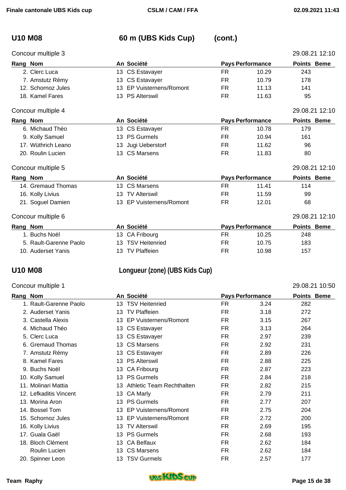# **U10 M08 60 m (UBS Kids Cup) (cont.)**

| Concour multiple 3 |    |                              |           |                         | 29.08.21 12:10     |
|--------------------|----|------------------------------|-----------|-------------------------|--------------------|
| Rang Nom           |    | An Société                   |           | <b>Pays Performance</b> | Points Beme        |
| 2. Clerc Luca      |    | 13 CS Estavayer              | FR.       | 10.29                   | 243                |
| 7. Amstutz Rémy    |    | 13 CS Estavayer              | FR.       | 10.79                   | 178                |
| 12. Schornoz Jules | 13 | <b>EP Vuisternens/Romont</b> | FR.       | 11.13                   | 141                |
| 18. Kamel Fares    |    | 13 PS Alterswil              | <b>FR</b> | 11.63                   | 95                 |
| Concour multiple 4 |    |                              |           |                         | 29.08.21 12:10     |
| Rang Nom           |    | An Société                   |           | <b>Pays Performance</b> | <b>Points Beme</b> |
| 6. Michaud Théo    |    | 13 CS Estavayer              | FR.       | 10.78                   | 179                |
| 9. Kolly Samuel    |    | 13 PS Gurmels                | FR.       | 10.94                   | 161                |
| 17. Wüthrich Leano | 13 | Jugi Ueberstorf              | FR.       | 11.62                   | 96                 |
| 20. Roulin Lucien  |    | 13 CS Marsens                | FR.       | 11.83                   | 80                 |
| Concour multiple 5 |    |                              |           |                         | 29.08.21 12:10     |
| Rang Nom           |    | An Société                   |           | <b>Pays Performance</b> | Points Beme        |
| 14. Gremaud Thomas |    | 13 CS Marsens                | FR.       | 11.41                   | 114                |
| 16. Kolly Livius   | 13 | <b>TV Alterswil</b>          | FR.       | 11.59                   | 99                 |
| 21. Soguel Damien  |    | 13 EP Vuisternens/Romont     | <b>FR</b> | 12.01                   | 68                 |
| Concour multiple 6 |    |                              |           |                         | 29.08.21 12:10     |
| Rang Nom           |    | An Société                   |           | <b>Pays Performance</b> | <b>Points Beme</b> |
| 4 Ducho No 31      |    | $10.01$ $\Gamma$ ibourg      | гn.       | 10.25                   | 0.40               |

| . Buchs Noël           | 13 CA Fribourg    | FR | 10.25 | 248 |
|------------------------|-------------------|----|-------|-----|
| 5. Rault-Garenne Paolo | 13 TSV Heitenried | FR | 10.75 | 183 |
| 10. Auderset Yanis     | 13 TV Plaffeien   | FR | 10.98 | 157 |

## **U10 M08 Longueur (zone) (UBS Kids Cup)**

| Concour multiple 1     |     |                              |           |                         | 29.08.21 10:50     |
|------------------------|-----|------------------------------|-----------|-------------------------|--------------------|
| Rang Nom               |     | An Société                   |           | <b>Pays Performance</b> | <b>Points Beme</b> |
| 1. Rault-Garenne Paolo |     | 13 TSV Heitenried            | FR.       | 3.24                    | 282                |
| 2. Auderset Yanis      | 13  | <b>TV Plaffeien</b>          | FR        | 3.18                    | 272                |
| 3. Castella Alexis     | 13  | <b>EP Vuisternens/Romont</b> | FR.       | 3.15                    | 267                |
| 4. Michaud Théo        |     | 13 CS Estavayer              | <b>FR</b> | 3.13                    | 264                |
| 5. Clerc Luca          |     | 13 CS Estavayer              | FR.       | 2.97                    | 239                |
| 6. Gremaud Thomas      |     | 13 CS Marsens                | <b>FR</b> | 2.92                    | 231                |
| 7. Amstutz Rémy        |     | 13 CS Estavayer              | FR.       | 2.89                    | 226                |
| 8. Kamel Fares         | 13  | <b>PS Alterswil</b>          | FR.       | 2.88                    | 225                |
| 9. Buchs Noël          | 13. | CA Fribourg                  | <b>FR</b> | 2.87                    | 223                |
| 10. Kolly Samuel       |     | 13 PS Gurmels                | FR        | 2.84                    | 218                |
| 11. Molinari Mattia    | 13  | Athletic Team Rechthalten    | FR        | 2.82                    | 215                |
| 12. Lefkaditis Vincent | 13. | <b>CA Marly</b>              | FR.       | 2.79                    | 211                |
| 13. Morina Aron        | 13  | <b>PS Gurmels</b>            | FR.       | 2.77                    | 207                |
| 14. Bossel Tom         | 13  | <b>EP Vuisternens/Romont</b> | FR.       | 2.75                    | 204                |
| 15. Schornoz Jules     | 13  | <b>EP Vuisternens/Romont</b> | FR.       | 2.72                    | 200                |
| 16. Kolly Livius       | 13  | <b>TV Alterswil</b>          | FR.       | 2.69                    | 195                |
| 17. Guala Gaël         | 13  | <b>PS Gurmels</b>            | FR.       | 2.68                    | 193                |
| 18. Bloch Clément      | 13  | <b>CA Belfaux</b>            | FR.       | 2.62                    | 184                |
| Roulin Lucien          |     | 13 CS Marsens                | <b>FR</b> | 2.62                    | 184                |

20. Spinner Leon 13 TSV Gurmels FR 2.57 177

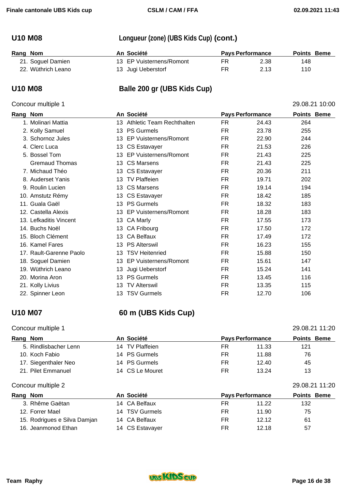## **U10 M08 Longueur (zone) (UBS Kids Cup) (cont.)**

| Rang Nom           | An Société               | <b>Pays Performance</b> |      | <b>Points Beme</b> |  |
|--------------------|--------------------------|-------------------------|------|--------------------|--|
| 21. Soguel Damien  | 13 EP Vuisternens/Romont | FR                      | 2.38 | 148                |  |
| 22. Wüthrich Leano | 13 Jugi Ueberstorf       | FR                      | 2.13 | 110                |  |

## **U10 M08 Balle 200 gr (UBS Kids Cup)**

### Concour multiple 1 29.08.21 10:00

**Rang Nom An Société Pays Performance Points Beme**  1. Molinari Mattia 13 Athletic Team Rechthalten FR 24.43 264 2. Kolly Samuel 13 PS Gurmels FR 23.78 255 3. Schornoz Jules 13 EP Vuisternens/Romont FR 22.90 244 4. Clerc Luca 13 CS Estavayer FR 21.53 226 5. Bossel Tom 13 EP Vuisternens/Romont FR 21.43 225 Gremaud Thomas 13 CS Marsens 12 FR 21.43 225 7. Michaud Théo 13 CS Estavayer FR 20.36 211 8. Auderset Yanis **13 TV Plaffeien** FR 19.71 202 9. Roulin Lucien 13 CS Marsens 13 CS Marsens 1981 FR 19.14 194 10. Amstutz Rémy **13 CS Estavayer** 13 CS Estavayer **FR** 18.42 185 11. Guala Gaël 13 PS Gurmels FR 18.32 183 12. Castella Alexis 13 EP Vuisternens/Romont FR 18.28 183 13. Lefkaditis Vincent **13 CA Marly 18 18 17** FR 17.55 173 14. Buchs Noël 13 CA Fribourg FR 17.50 172 15. Bloch Clément 13 CA Belfaux **FR** 17.49 172 16. Kamel Fares **13 PS Alterswil** FR 16.23 155 17. Rault-Garenne Paolo 13 TSV Heitenried FR 15.88 150 18. Soguel Damien **13 EP Vuisternens/Romont** FR 15.61 147 19. Wüthrich Leano **13 Jugi Ueberstorf FR** 15.24 141 20. Morina Aron 13 PS Gurmels 13 PS Gurmels 13 PS Gurmels 15 PR 13.45 116 21. Kolly Livius **13 TV Alterswil** 13 TV Alterswil **FR** 13.35 115 22. Spinner Leon **13 TSV Gurmels** FR 12.70 106

### **U10 M07 60 m (UBS Kids Cup)**

### Concour multiple 1 29.08.21 11:20

| Rang Nom                     | An Société      | <b>Pays Performance</b> | <b>Points Beme</b> |
|------------------------------|-----------------|-------------------------|--------------------|
| 5. Rindlisbacher Lenn        | 14 TV Plaffeien | <b>FR</b><br>11.33      | 121                |
| 10. Koch Fabio               | 14 PS Gurmels   | <b>FR</b><br>11.88      | 76                 |
| 17. Siegenthaler Neo         | 14 PS Gurmels   | FR<br>12.40             | 45                 |
| 21. Pilet Emmanuel           | 14 CS Le Mouret | FR<br>13.24             | 13                 |
| Concour multiple 2           |                 |                         | 29.08.21 11:20     |
| Rang Nom                     | An Société      | <b>Pays Performance</b> | <b>Points Beme</b> |
| 3. Rhême Gaëtan              | 14 CA Belfaux   | <b>FR</b><br>11.22      | 132                |
| 12. Forrer Mael              | 14 TSV Gurmels  | <b>FR</b><br>11.90      | 75                 |
| 15. Rodrigues e Silva Damjan | 14 CA Belfaux   | <b>FR</b><br>12.12      | 61                 |
| 16. Jeanmonod Ethan          | 14 CS Estavayer | FR<br>12.18             | 57                 |

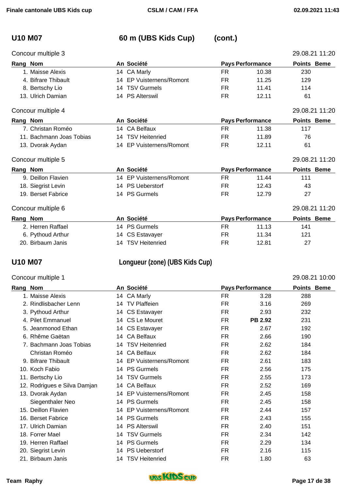# **U10 M07 60 m (UBS Kids Cup) (cont.)**

| Concour multiple 3                 |                                        |           |                         | 29.08.21 11:20     |
|------------------------------------|----------------------------------------|-----------|-------------------------|--------------------|
| Rang Nom                           | An Société                             |           | <b>Pays Performance</b> | <b>Points Beme</b> |
| 1. Maisse Alexis                   | 14 CA Marly                            | FR        | 10.38                   | 230                |
| 4. Bifrare Thibault                | 14 EP Vuisternens/Romont               | FR.       | 11.25                   | 129                |
| 8. Bertschy Lio                    | 14 TSV Gurmels                         | FR.       | 11.41                   | 114                |
| 13. Ulrich Damian                  | 14 PS Alterswil                        | <b>FR</b> | 12.11                   | 61                 |
| Concour multiple 4                 |                                        |           |                         | 29.08.21 11:20     |
| Rang Nom                           | An Société                             |           | <b>Pays Performance</b> | <b>Points Beme</b> |
| 7. Christan Roméo                  | 14 CA Belfaux                          | FR        | 11.38                   | 117                |
| 11. Bachmann Joas Tobias           | 14 TSV Heitenried                      | FR.       | 11.89                   | 76                 |
| 13. Dvorak Aydan                   | 14 EP Vuisternens/Romont               | FR        | 12.11                   | 61                 |
| Concour multiple 5                 |                                        |           |                         | 29.08.21 11:20     |
| Rang Nom                           | An Société                             |           | <b>Pays Performance</b> | <b>Points Beme</b> |
| 9. Deillon Flavien                 | 14 EP Vuisternens/Romont               | FR        | 11.44                   | 111                |
| 18. Siegrist Levin                 | 14 PS Ueberstorf                       | FR.       | 12.43                   | 43                 |
| 19. Berset Fabrice                 | 14 PS Gurmels                          | FR        | 12.79                   | 27                 |
| Concour multiple 6                 |                                        |           |                         | 29.08.21 11:20     |
| $\sim$ $\sim$ $\sim$ $\sim$ $\sim$ | $\mathbf{A}$ $\mathbf{A}$ $\mathbf{A}$ |           |                         | .                  |

| Rang Nom          | An Société        |    | <b>Pays Performance</b> | <b>Points Beme</b> |
|-------------------|-------------------|----|-------------------------|--------------------|
| 2. Herren Raffael | 14 PS Gurmels     | FR | 11.13                   | 141                |
| 6. Pythoud Arthur | 14 CS Estavayer   | FR | 11.34                   | 121                |
| 20. Birbaum Janis | 14 TSV Heitenried | FR | 12.81                   | 27                 |

## **U10 M07 Longueur (zone) (UBS Kids Cup)**

### Concour multiple 1 29.08.21 10:00

| Rang | <b>Nom</b>                   |     | An Société               |           | <b>Pays Performance</b> | <b>Points Beme</b> |
|------|------------------------------|-----|--------------------------|-----------|-------------------------|--------------------|
|      | 1. Maisse Alexis             |     | 14 CA Marly              | <b>FR</b> | 3.28                    | 288                |
|      | 2. Rindlisbacher Lenn        | 14  | <b>TV Plaffeien</b>      | <b>FR</b> | 3.16                    | 269                |
|      | 3. Pythoud Arthur            |     | 14 CS Estavayer          | <b>FR</b> | 2.93                    | 232                |
|      | 4. Pilet Emmanuel            | 14  | CS Le Mouret             | <b>FR</b> | <b>PB 2.92</b>          | 231                |
|      | 5. Jeanmonod Ethan           |     | 14 CS Estavayer          | <b>FR</b> | 2.67                    | 192                |
|      | 6. Rhême Gaëtan              | 14  | <b>CA Belfaux</b>        | <b>FR</b> | 2.66                    | 190                |
|      | 7. Bachmann Joas Tobias      | 14  | <b>TSV Heitenried</b>    | <b>FR</b> | 2.62                    | 184                |
|      | Christan Roméo               |     | 14 CA Belfaux            | <b>FR</b> | 2.62                    | 184                |
|      | 9. Bifrare Thibault          |     | 14 EP Vuisternens/Romont | FR.       | 2.61                    | 183                |
|      | 10. Koch Fabio               | 14  | <b>PS Gurmels</b>        | FR.       | 2.56                    | 175                |
|      | 11. Bertschy Lio             | 14  | <b>TSV Gurmels</b>       | <b>FR</b> | 2.55                    | 173                |
|      | 12. Rodrigues e Silva Damjan |     | 14 CA Belfaux            | <b>FR</b> | 2.52                    | 169                |
|      | 13. Dvorak Aydan             |     | 14 EP Vuisternens/Romont | FR.       | 2.45                    | 158                |
|      | Siegenthaler Neo             | 14. | <b>PS Gurmels</b>        | <b>FR</b> | 2.45                    | 158                |
|      | 15. Deillon Flavien          |     | 14 EP Vuisternens/Romont | FR.       | 2.44                    | 157                |
|      | 16. Berset Fabrice           | 14  | <b>PS Gurmels</b>        | <b>FR</b> | 2.43                    | 155                |
|      | 17. Ulrich Damian            | 14  | <b>PS Alterswil</b>      | <b>FR</b> | 2.40                    | 151                |
|      | 18. Forrer Mael              | 14  | <b>TSV Gurmels</b>       | <b>FR</b> | 2.34                    | 142                |
|      | 19. Herren Raffael           | 14  | <b>PS Gurmels</b>        | <b>FR</b> | 2.29                    | 134                |
|      | 20. Siegrist Levin           | 14  | <b>PS Ueberstorf</b>     | FR.       | 2.16                    | 115                |
|      | 21. Birbaum Janis            | 14  | <b>TSV Heitenried</b>    | FR.       | 1.80                    | 63                 |

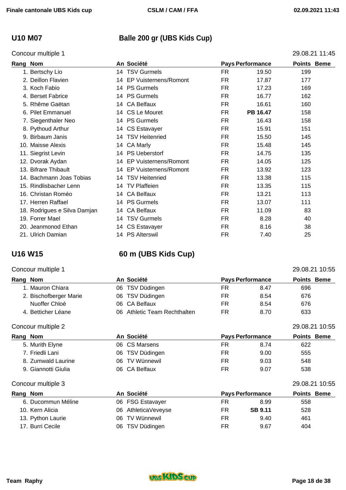## **U10 M07 Balle 200 gr (UBS Kids Cup)**

| Concour multiple 1           |                          |           |                         | 29.08.21 11:45     |
|------------------------------|--------------------------|-----------|-------------------------|--------------------|
| Rang Nom                     | An Société               |           | <b>Pays Performance</b> | <b>Points Beme</b> |
| 1. Bertschy Lio              | 14 TSV Gurmels           | FR.       | 19.50                   | 199                |
| 2. Deillon Flavien           | 14 EP Vuisternens/Romont | FR.       | 17.87                   | 177                |
| 3. Koch Fabio                | 14 PS Gurmels            | FR.       | 17.23                   | 169                |
| 4. Berset Fabrice            | 14 PS Gurmels            | FR        | 16.77                   | 162                |
| 5. Rhême Gaëtan              | 14 CA Belfaux            | FR.       | 16.61                   | 160                |
| 6. Pilet Emmanuel            | 14 CS Le Mouret          | <b>FR</b> | PB 16.47                | 158                |
| 7. Siegenthaler Neo          | 14 PS Gurmels            | <b>FR</b> | 16.43                   | 158                |
| 8. Pythoud Arthur            | 14 CS Estavayer          | FR.       | 15.91                   | 151                |
| 9. Birbaum Janis             | 14 TSV Heitenried        | FR.       | 15.50                   | 145                |
| 10. Maisse Alexis            | 14 CA Marly              | <b>FR</b> | 15.48                   | 145                |
| 11. Siegrist Levin           | 14 PS Ueberstorf         | FR.       | 14.75                   | 135                |
| 12. Dvorak Aydan             | 14 EP Vuisternens/Romont | FR.       | 14.05                   | 125                |
| 13. Bifrare Thibault         | 14 EP Vuisternens/Romont | FR.       | 13.92                   | 123                |
| 14. Bachmann Joas Tobias     | 14 TSV Heitenried        | FR.       | 13.38                   | 115                |
| 15. Rindlisbacher Lenn       | 14 TV Plaffeien          | FR.       | 13.35                   | 115                |
| 16. Christan Roméo           | 14 CA Belfaux            | FR.       | 13.21                   | 113                |
| 17. Herren Raffael           | 14 PS Gurmels            | <b>FR</b> | 13.07                   | 111                |
| 18. Rodrigues e Silva Damjan | 14 CA Belfaux            | FR.       | 11.09                   | 83                 |
| 19. Forrer Mael              | 14 TSV Gurmels           | <b>FR</b> | 8.28                    | 40                 |
| 20. Jeanmonod Ethan          | 14 CS Estavayer          | <b>FR</b> | 8.16                    | 38                 |

## **U16 W15 60 m (UBS Kids Cup)**

### Concour multiple 1 29.08.21 10:55

21. Ulrich Damian **14 PS Alterswil 14 PS Alterswil** FR 7.40 25

| Rang Nom               |  |                                                                                                   |      |                         |                    |
|------------------------|--|---------------------------------------------------------------------------------------------------|------|-------------------------|--------------------|
| 1. Mauron Chiara       |  | FR                                                                                                | 8.47 | 696                     |                    |
| 2. Bischofberger Marie |  | FR                                                                                                | 8.54 | 676                     |                    |
| Nuoffer Chloé          |  | FR                                                                                                | 8.54 | 676                     |                    |
| 4. Betticher Léane     |  | FR                                                                                                | 8.70 | 633                     |                    |
|                        |  | An Société<br>06 TSV Düdingen<br>06 TSV Düdingen<br>06 CA Belfaux<br>06 Athletic Team Rechthalten |      | <b>Pays Performance</b> | <b>Points Beme</b> |

### Concour multiple 2 29.08.21 10:55

| Rang Nom |                     |     | An Société         |     | <b>Pays Performance</b> | <b>Points Beme</b> |
|----------|---------------------|-----|--------------------|-----|-------------------------|--------------------|
|          | 5. Murith Elyne     |     | 06 CS Marsens      | FR  | 8.74                    | 622                |
|          | 7. Friedli Lani     |     | 06 TSV Düdingen    | FR  | 9.00                    | 555                |
|          | 8. Zumwald Laurine  |     | 06 TV Wünnewil     | FR. | 9.03                    | 548                |
|          | 9. Giannotti Giulia |     | 06 CA Belfaux      | FR  | 9.07                    | 538                |
|          | Concour multiple 3  |     |                    |     |                         | 29.08.21 10:55     |
| Rang Nom |                     |     | An Société         |     | <b>Pays Performance</b> | <b>Points Beme</b> |
|          | 6. Ducommun Méline  |     | 06 FSG Estavayer   | FR. | 8.99                    | 558                |
|          | 10. Kern Alicia     | 06  | AthleticaVeveyse   | FR  | <b>SB 9.11</b>          | 528                |
|          | 13. Python Laurie   | 06  | <b>TV Wünnewil</b> | FR  | 9.40                    | 461                |
|          | 17. Burri Cecile    | 06. | TSV Düdingen       | FR  | 9.67                    | 404                |

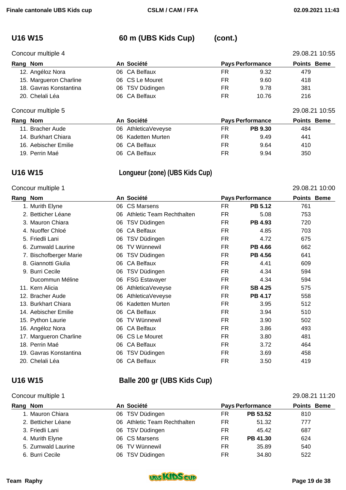# **U16 W15 60 m (UBS Kids Cup) (cont.)**

| Concour multiple 4     |                 |                         | 29.08.21 10:55     |
|------------------------|-----------------|-------------------------|--------------------|
| Rang Nom               | An Société      | <b>Pays Performance</b> | <b>Points Beme</b> |
| 12. Angéloz Nora       | 06 CA Belfaux   | FR                      | 9.32<br>479        |
| 15. Margueron Charline | 06 CS Le Mouret | FR                      | 418<br>9.60        |
| 18. Gavras Konstantina | 06 TSV Düdingen | FR.                     | 381<br>9.78        |
| 20. Chelali Léa        | 06 CA Belfaux   | FR                      | 216<br>10.76       |
| Concour multiple 5     |                 |                         | 29.08.21 10:55     |
| Rang Nom               | An Société      | <b>Pays Performance</b> | <b>Points Beme</b> |

|                      | , ,,, <del>,,,,,,,,</del> |    | . *** . *      | .   |
|----------------------|---------------------------|----|----------------|-----|
| 11. Bracher Aude     | 06 AthleticaVeveyse       | FR | <b>PB 9.30</b> | 484 |
| 14. Burkhart Chiara  | 06 Kadetten Murten        | FR | 9.49           | 441 |
| 16. Aebischer Emilie | 06 CA Belfaux             | FR | 9.64           | 410 |
| 19. Perrin Maé       | 06 CA Belfaux             | FR | 9.94           | 350 |

## **U16 W15 Longueur (zone) (UBS Kids Cup)**

### Concour multiple 1 29.08.21 10:00

| Rang<br><b>Nom</b>     |    | An Société                |           | <b>Pays Performance</b> | <b>Points Beme</b> |  |
|------------------------|----|---------------------------|-----------|-------------------------|--------------------|--|
| 1. Murith Elyne        | 06 | <b>CS Marsens</b>         | FR.       | <b>PB 5.12</b>          | 761                |  |
| 2. Betticher Léane     | 06 | Athletic Team Rechthalten | FR        | 5.08                    | 753                |  |
| 3. Mauron Chiara       | 06 | TSV Düdingen              | FR.       | PB 4.93                 | 720                |  |
| 4. Nuoffer Chloé       | 06 | <b>CA Belfaux</b>         | <b>FR</b> | 4.85                    | 703                |  |
| 5. Friedli Lani        | 06 | TSV Düdingen              | <b>FR</b> | 4.72                    | 675                |  |
| 6. Zumwald Laurine     | 06 | <b>TV Wünnewil</b>        | FR.       | <b>PB 4.66</b>          | 662                |  |
| 7. Bischofberger Marie | 06 | TSV Düdingen              | FR.       | PB 4.56                 | 641                |  |
| 8. Giannotti Giulia    | 06 | <b>CA Belfaux</b>         | FR.       | 4.41                    | 609                |  |
| 9. Burri Cecile        | 06 | TSV Düdingen              | <b>FR</b> | 4.34                    | 594                |  |
| Ducommun Méline        | 06 | <b>FSG Estavayer</b>      | FR.       | 4.34                    | 594                |  |
| 11. Kern Alicia        | 06 | AthleticaVeveyse          | FR.       | <b>SB 4.25</b>          | 575                |  |
| 12. Bracher Aude       | 06 | AthleticaVeveyse          | <b>FR</b> | <b>PB 4.17</b>          | 558                |  |
| 13. Burkhart Chiara    | 06 | <b>Kadetten Murten</b>    | FR.       | 3.95                    | 512                |  |
| 14. Aebischer Emilie   | 06 | CA Belfaux                | FR.       | 3.94                    | 510                |  |
| 15. Python Laurie      | 06 | <b>TV Wünnewil</b>        | <b>FR</b> | 3.90                    | 502                |  |
| 16. Angéloz Nora       | 06 | <b>CA Belfaux</b>         | FR.       | 3.86                    | 493                |  |
| 17. Margueron Charline |    | 06 CS Le Mouret           | <b>FR</b> | 3.80                    | 481                |  |
| 18. Perrin Maé         | 06 | <b>CA Belfaux</b>         | <b>FR</b> | 3.72                    | 464                |  |
| 19. Gavras Konstantina | 06 | TSV Düdingen              | FR.       | 3.69                    | 458                |  |
| 20. Chelali Léa        | 06 | <b>CA Belfaux</b>         | FR        | 3.50                    | 419                |  |

# **U16 W15 Balle 200 gr (UBS Kids Cup)**

### Concour multiple 1 29.08.21 11:20

| Rang Nom           | An Société                   |     | <b>Pays Performance</b> | <b>Points Beme</b> |  |
|--------------------|------------------------------|-----|-------------------------|--------------------|--|
| 1. Mauron Chiara   | 06 TSV Düdingen              | FR. | PB 53.52                | 810                |  |
| 2. Betticher Léane | 06 Athletic Team Rechthalten | FR  | 51.32                   | 777                |  |
| 3. Friedli Lani    | 06 TSV Düdingen              | FR. | 45.42                   | 687                |  |
| 4. Murith Elyne    | 06 CS Marsens                | FR  | PB 41.30                | 624                |  |

5. Zumwald Laurine 06 TV Wünnewil FR 35.89 540

6. Burri Cecile **18 Company 100 COMPACT STSV Düdingen** 1522 COMPACT FR 34.80 522

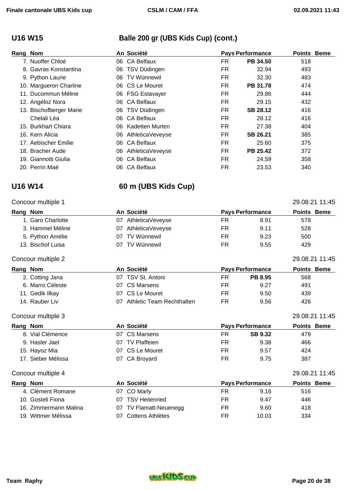## **U16 W15 Balle 200 gr (UBS Kids Cup) (cont.)**

| Rang Nom                |     | An Société         |     | <b>Pays Performance</b> | <b>Points Beme</b> |  |
|-------------------------|-----|--------------------|-----|-------------------------|--------------------|--|
| 7. Nuoffer Chloé        | 06  | <b>CA Belfaux</b>  | FR  | PB 34.50                | 518                |  |
| 8. Gavras Konstantina   |     | 06 TSV Düdingen    | FR  | 32.94                   | 493                |  |
| 9. Python Laurie        | 06. | <b>TV Wünnewil</b> | FR. | 32.30                   | 483                |  |
| 10. Margueron Charline  |     | 06 CS Le Mouret    | FR. | PB 31.78                | 474                |  |
| 11. Ducommun Méline     |     | 06 FSG Estavayer   | FR. | 29.86                   | 444                |  |
| 12. Angéloz Nora        | 06  | <b>CA Belfaux</b>  | FR  | 29.15                   | 432                |  |
| 13. Bischofberger Marie |     | 06 TSV Düdingen    | FR. | <b>SB 28.12</b>         | 416                |  |
| Chelali Léa             | 06. | <b>CA Belfaux</b>  | FR  | 28.12                   | 416                |  |
| 15. Burkhart Chiara     | 06. | Kadetten Murten    | FR  | 27.38                   | 404                |  |
| 16. Kern Alicia         | 06. | AthleticaVeveyse   | FR  | SB 26.21                | 385                |  |
| 17. Aebischer Emilie    | 06  | <b>CA Belfaux</b>  | FR  | 25.60                   | 375                |  |
| 18. Bracher Aude        | 06  | AthleticaVeveyse   | FR  | PB 25.42                | 372                |  |
| 19. Giannotti Giulia    | 06. | <b>CA Belfaux</b>  | FR  | 24.59                   | 358                |  |
| 20. Perrin Maé          | 06  | <b>CA Belfaux</b>  | FR  | 23.53                   | 340                |  |

## **U16 W14 60 m (UBS Kids Cup)**

## Concour multiple 1 29.08.21 11:45

| Rang Nom |                    | An Société |                           |     | <b>Pays Performance</b> | <b>Points Beme</b> |
|----------|--------------------|------------|---------------------------|-----|-------------------------|--------------------|
|          | 1. Garo Charlotte  | 07         | AthleticaVeveyse          | FR. | 8.91                    | 578                |
|          | 3. Hammel Méline   | 07         | AthleticaVeveyse          | FR  | 9.11                    | 528                |
|          | 5. Python Amélie   | 07         | <b>TV Wünnewil</b>        | FR. | 9.23                    | 500                |
|          | 13. Bischof Luisa  | 07         | <b>TV Wünnewil</b>        | FR  | 9.55                    | 429                |
|          | Concour multiple 2 |            |                           |     |                         | 29.08.21 11:45     |
| Rang Nom |                    |            | An Société                |     | <b>Pays Performance</b> | <b>Points Beme</b> |
|          | 2. Cotting Jana    | 07         | TSV St. Antoni            | FR. | <b>PB 8.95</b>          | 568                |
|          | 6. Marro Céleste   | 07         | <b>CS Marsens</b>         | FR. | 9.27                    | 491                |
|          | 11. Gedik Ilkay    | 07         | CS Le Mouret              | FR. | 9.50                    | 439                |
|          | 14. Rauber Liv     | 07         | Athletic Team Rechthalten | FR  | 9.56                    | 426                |
|          | Concour multiple 3 |            |                           |     |                         | 29.08.21 11:45     |
| Rang Nom |                    |            | An Société                |     | <b>Pays Performance</b> | <b>Points Beme</b> |
|          | 8. Vial Clémence   | 07         | <b>CS Marsens</b>         | FR  | <b>SB 9.32</b>          | 479                |
|          | 9. Hasler Jael     | 07         | <b>TV Plaffeien</b>       | FR  | 9.38                    | 466                |

### Concour multiple 4 29.08.21 11:45

| Rang Nom |                       | An Société             | <b>Pays Performance</b> |       | <b>Points Beme</b> |
|----------|-----------------------|------------------------|-------------------------|-------|--------------------|
|          | 4. Clément Romane     | 07 CO Marly            | FR                      | 9.16  | 516                |
|          | 10. Gosteli Fiona     | 07 TSV Heitenried      | FR.                     | 9.47  | 446                |
|          | 16. Zimmermann Malina | 07 TV Flamatt-Neuenegg | FR                      | 9.60  | 418                |
|          | 19. Wittmer Mélissa   | 07 Cottens Athlètes    | FR                      | 10.03 | 334                |

15. Hayoz Mia **15. Hayoz Mia 19.57** 424 17. Sieber Mélissa **17. Sieber Mélissa** 17. Sieber Mélissa **187** CA Broyard 17. Sieber Mélissa

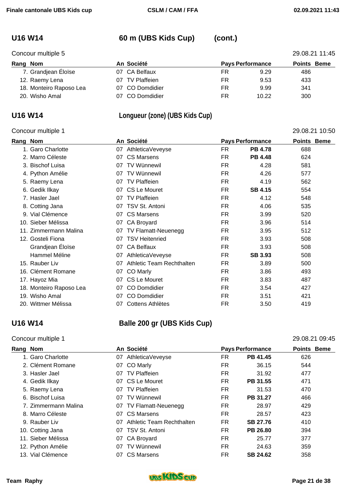## **U16 W14 60 m (UBS Kids Cup) (cont.)**

|          | 29.08.21 11:45<br>Concour multiple 5 |                     |    |                         |                    |  |
|----------|--------------------------------------|---------------------|----|-------------------------|--------------------|--|
| Rang Nom |                                      | An Société          |    | <b>Pays Performance</b> | <b>Points Beme</b> |  |
|          | 7. Grandjean Éloïse                  | 07 CA Belfaux       | FR | 9.29                    | 486                |  |
|          | 12. Raemy Lena                       | TV Plaffeien<br>07. | FR | 9.53                    | 433                |  |
|          | 18. Monteiro Raposo Lea              | 07 CO Domdidier     | FR | 9.99                    | 341                |  |
|          | 20. Wisho Amal                       | 07 CO Domdidier     | FR | 10.22                   | 300                |  |

# **U16 W14 Longueur (zone) (UBS Kids Cup)**

### Concour multiple 1 29.08.21 10:50

| Rang | <b>Nom</b>              |    | An Société                |           | <b>Pays Performance</b> | <b>Points Beme</b> |  |
|------|-------------------------|----|---------------------------|-----------|-------------------------|--------------------|--|
|      | 1. Garo Charlotte       | 07 | AthleticaVeveyse          | <b>FR</b> | <b>PB 4.78</b>          | 688                |  |
|      | 2. Marro Céleste        | 07 | <b>CS Marsens</b>         | <b>FR</b> | <b>PB 4.48</b>          | 624                |  |
|      | 3. Bischof Luisa        | 07 | <b>TV Wünnewil</b>        | <b>FR</b> | 4.28                    | 581                |  |
|      | 4. Python Amélie        | 07 | TV Wünnewil               | FR.       | 4.26                    | 577                |  |
|      | 5. Raemy Lena           | 07 | <b>TV Plaffeien</b>       | <b>FR</b> | 4.19                    | 562                |  |
|      | 6. Gedik Ilkay          | 07 | CS Le Mouret              | <b>FR</b> | <b>SB 4.15</b>          | 554                |  |
|      | 7. Hasler Jael          | 07 | <b>TV Plaffeien</b>       | FR.       | 4.12                    | 548                |  |
|      | 8. Cotting Jana         | 07 | TSV St. Antoni            | <b>FR</b> | 4.06                    | 535                |  |
| 9.   | Vial Clémence           | 07 | <b>CS Marsens</b>         | FR.       | 3.99                    | 520                |  |
| 10.  | Sieber Mélissa          | 07 | CA Broyard                | FR.       | 3.96                    | 514                |  |
| 11.  | Zimmermann Malina       | 07 | TV Flamatt-Neuenegg       | <b>FR</b> | 3.95                    | 512                |  |
|      | 12. Gosteli Fiona       | 07 | <b>TSV Heitenried</b>     | FR.       | 3.93                    | 508                |  |
|      | Grandjean Éloïse        | 07 | <b>CA Belfaux</b>         | FR.       | 3.93                    | 508                |  |
|      | Hammel Méline           | 07 | AthleticaVeveyse          | <b>FR</b> | <b>SB 3.93</b>          | 508                |  |
|      | 15. Rauber Liv          | 07 | Athletic Team Rechthalten | <b>FR</b> | 3.89                    | 500                |  |
|      | 16. Clément Romane      | 07 | CO Marly                  | <b>FR</b> | 3.86                    | 493                |  |
|      | 17. Hayoz Mia           | 07 | CS Le Mouret              | FR.       | 3.83                    | 487                |  |
|      | 18. Monteiro Raposo Lea | 07 | <b>CO Domdidier</b>       | <b>FR</b> | 3.54                    | 427                |  |
|      | 19. Wisho Amal          | 07 | <b>CO Domdidier</b>       | FR.       | 3.51                    | 421                |  |
|      | 20. Wittmer Mélissa     | 07 | Cottens Athlètes          | <b>FR</b> | 3.50                    | 419                |  |

## **U16 W14 Balle 200 gr (UBS Kids Cup)**

### Concour multiple 1 29.08.21 09:45

| Rang | <b>Nom</b>           |    | An Société                |           | <b>Pays Performance</b> | <b>Points Beme</b> |  |
|------|----------------------|----|---------------------------|-----------|-------------------------|--------------------|--|
|      | 1. Garo Charlotte    | 07 | AthleticaVeveyse          | FR.       | PB 41.45                | 626                |  |
|      | 2. Clément Romane    | 07 | <b>CO Marly</b>           | FR        | 36.15                   | 544                |  |
|      | 3. Hasler Jael       | 07 | <b>TV Plaffeien</b>       | FR        | 31.92                   | 477                |  |
|      | 4. Gedik Ilkay       | 07 | CS Le Mouret              | FR        | PB 31.55                | 471                |  |
|      | 5. Raemy Lena        | 07 | <b>TV Plaffeien</b>       | FR        | 31.53                   | 470                |  |
|      | 6. Bischof Luisa     | 07 | <b>TV Wünnewil</b>        | FR        | PB 31.27                | 466                |  |
|      | 7. Zimmermann Malina |    | 07 TV Flamatt-Neuenegg    | FR        | 28.97                   | 429                |  |
|      | 8. Marro Céleste     | 07 | CS Marsens                | FR.       | 28.57                   | 423                |  |
|      | 9. Rauber Liv        | 07 | Athletic Team Rechthalten | FR        | <b>SB 27.76</b>         | 410                |  |
|      | 10. Cotting Jana     | 07 | TSV St. Antoni            | FR.       | PB 26.80                | 394                |  |
|      | 11. Sieber Mélissa   | 07 | <b>CA Broyard</b>         | FR.       | 25.77                   | 377                |  |
|      | 12. Python Amélie    | 07 | <b>TV Wünnewil</b>        | FR.       | 24.63                   | 359                |  |
| 13.  | Vial Clémence        | 07 | CS Marsens                | <b>FR</b> | SB 24.62                | 358                |  |
|      |                      |    |                           |           |                         |                    |  |

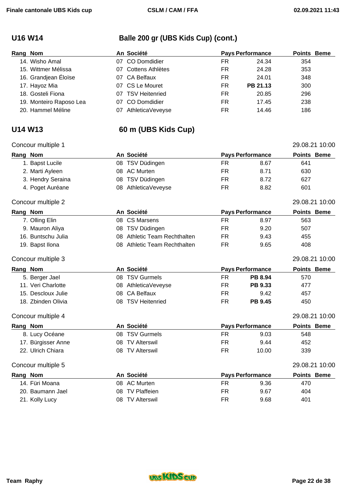# **U16 W14 Balle 200 gr (UBS Kids Cup) (cont.)**

| Rang Nom |                         |    | An Société            |    | <b>Pays Performance</b> | <b>Points Beme</b> |  |
|----------|-------------------------|----|-----------------------|----|-------------------------|--------------------|--|
|          | 14. Wisho Amal          |    | 07 CO Domdidier       | FR | 24.34                   | 354                |  |
|          | 15. Wittmer Mélissa     |    | 07 Cottens Athlètes   | FR | 24.28                   | 353                |  |
|          | 16. Grandjean Éloïse    |    | 07 CA Belfaux         | FR | 24.01                   | 348                |  |
|          | 17. Hayoz Mia           |    | 07 CS Le Mouret       | FR | PB 21.13                | 300                |  |
|          | 18. Gosteli Fiona       | 07 | <b>TSV Heitenried</b> | FR | 20.85                   | 296                |  |
|          | 19. Monteiro Raposo Lea |    | 07 CO Domdidier       | FR | 17.45                   | 238                |  |
|          | 20. Hammel Méline       | 07 | AthleticaVeveyse      | FR | 14.46                   | 186                |  |

## **U14 W13 60 m (UBS Kids Cup)**

### Concour multiple 1 29.08.21 10:00

| oonoon muupie i    |    |                              |           |                         | 23.00.21 TU.00     |
|--------------------|----|------------------------------|-----------|-------------------------|--------------------|
| Rang Nom           |    | An Société                   |           | <b>Pays Performance</b> | Points Beme        |
| 1. Bapst Lucile    |    | 08 TSV Düdingen              | FR.       | 8.67                    | 641                |
| 2. Marti Ayleen    |    | 08 AC Murten                 | <b>FR</b> | 8.71                    | 630                |
| 3. Hendry Seraina  |    | 08 TSV Düdingen              | <b>FR</b> | 8.72                    | 627                |
| 4. Poget Auréane   |    | 08 AthleticaVeveyse          | <b>FR</b> | 8.82                    | 601                |
| Concour multiple 2 |    |                              |           |                         | 29.08.21 10:00     |
| Rang Nom           |    | An Société                   |           | <b>Pays Performance</b> | <b>Points Beme</b> |
| 7. Olling Elin     | 08 | <b>CS Marsens</b>            | <b>FR</b> | 8.97                    | 563                |
| 9. Mauron Aliya    | 08 | TSV Düdingen                 | <b>FR</b> | 9.20                    | 507                |
| 16. Buntschu Julia | 08 | Athletic Team Rechthalten    | <b>FR</b> | 9.43                    | 455                |
| 19. Bapst Ilona    |    | 08 Athletic Team Rechthalten | <b>FR</b> | 9.65                    | 408                |
| Concour multiple 3 |    |                              |           |                         | 29.08.21 10:00     |
| Rang Nom           |    | An Société                   |           | <b>Pays Performance</b> | Points Beme        |
| 5. Berger Jael     |    | 08 TSV Gurmels               | <b>FR</b> | PB 8.94                 | 570                |
| 11. Veri Charlotte |    | 08 AthleticaVeveyse          | <b>FR</b> | PB 9.33                 | 477                |
| 15. Descloux Julie | 08 | <b>CA Belfaux</b>            | <b>FR</b> | 9.42                    | 457                |
| 18. Zbinden Olivia |    | 08 TSV Heitenried            | <b>FR</b> | <b>PB 9.45</b>          | 450                |
| Concour multiple 4 |    |                              |           |                         | 29.08.21 10:00     |
| Rang Nom           |    | An Société                   |           | <b>Pays Performance</b> | <b>Points Beme</b> |
| 8. Lucy Océane     | 08 | <b>TSV Gurmels</b>           | <b>FR</b> | 9.03                    | 548                |
| 17. Bürgisser Anne | 08 | <b>TV Alterswil</b>          | <b>FR</b> | 9.44                    | 452                |
| 22. Ulrich Chiara  | 08 | <b>TV Alterswil</b>          | <b>FR</b> | 10.00                   | 339                |
| Concour multiple 5 |    |                              |           |                         | 29.08.21 10:00     |
| Rang Nom           |    | An Société                   |           | <b>Pays Performance</b> | <b>Points Beme</b> |
| 14. Füri Moana     |    | 08 AC Murten                 | <b>FR</b> | 9.36                    | 470                |
| 20. Baumann Jael   | 08 | <b>TV Plaffeien</b>          | <b>FR</b> | 9.67                    | 404                |
| 21. Kolly Lucy     |    | 08 TV Alterswil              | <b>FR</b> | 9.68                    | 401                |

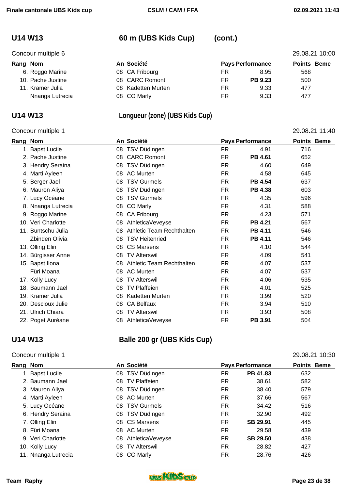## **U14 W13 60 m (UBS Kids Cup) (cont.)**

|          | Concour multiple 6 |  |                    |    |                         |                    | 29.08.21 10:00 |
|----------|--------------------|--|--------------------|----|-------------------------|--------------------|----------------|
| Rang Nom |                    |  | An Société         |    | <b>Pays Performance</b> | <b>Points Beme</b> |                |
|          | 6. Roggo Marine    |  | 08 CA Fribourg     | FR | 8.95                    | 568                |                |
|          | 10. Pache Justine  |  | 08 CARC Romont     | FR | <b>PB 9.23</b>          | 500                |                |
|          | 11. Kramer Julia   |  | 08 Kadetten Murten | FR | 9.33                    | 477                |                |
|          | Nnanga Lutrecia    |  | 08 CO Marly        | FR | 9.33                    | 477                |                |

## **U14 W13 Longueur (zone) (UBS Kids Cup)**

### Concour multiple 1 29.08.21 11:40

| Rang | Nom                | An Société |                           |           | <b>Pays Performance</b> |     | <b>Points Beme</b> |
|------|--------------------|------------|---------------------------|-----------|-------------------------|-----|--------------------|
|      | 1. Bapst Lucile    | 08         | TSV Düdingen              | FR.       | 4.91                    | 716 |                    |
|      | 2. Pache Justine   | 08         | <b>CARC Romont</b>        | FR        | PB 4.61                 | 652 |                    |
|      | 3. Hendry Seraina  | 08         | TSV Düdingen              | <b>FR</b> | 4.60                    | 649 |                    |
|      | 4. Marti Ayleen    | 08         | <b>AC Murten</b>          | <b>FR</b> | 4.58                    | 645 |                    |
|      | 5. Berger Jael     | 08         | <b>TSV Gurmels</b>        | <b>FR</b> | <b>PB 4.54</b>          | 637 |                    |
|      | 6. Mauron Aliya    | 08         | TSV Düdingen              | <b>FR</b> | PB 4.38                 | 603 |                    |
|      | 7. Lucy Océane     | 08         | <b>TSV Gurmels</b>        | <b>FR</b> | 4.35                    | 596 |                    |
|      | 8. Nnanga Lutrecia | 08         | CO Marly                  | <b>FR</b> | 4.31                    | 588 |                    |
|      | 9. Roggo Marine    | 08         | CA Fribourg               | <b>FR</b> | 4.23                    | 571 |                    |
| 10.  | Veri Charlotte     | 08         | AthleticaVeveyse          | <b>FR</b> | PB 4.21                 | 567 |                    |
|      | 11. Buntschu Julia | 08         | Athletic Team Rechthalten | <b>FR</b> | PB 4.11                 | 546 |                    |
|      | Zbinden Olivia     | 08         | <b>TSV Heitenried</b>     | FR        | PB 4.11                 | 546 |                    |
|      | 13. Olling Elin    | 08         | <b>CS Marsens</b>         | <b>FR</b> | 4.10                    | 544 |                    |
|      | 14. Bürgisser Anne | 08         | <b>TV Alterswil</b>       | <b>FR</b> | 4.09                    | 541 |                    |
|      | 15. Bapst Ilona    | 08         | Athletic Team Rechthalten | <b>FR</b> | 4.07                    | 537 |                    |
|      | Füri Moana         | 08         | <b>AC Murten</b>          | FR.       | 4.07                    | 537 |                    |
|      | 17. Kolly Lucy     | 08         | <b>TV Alterswil</b>       | <b>FR</b> | 4.06                    | 535 |                    |
|      | 18. Baumann Jael   | 08         | <b>TV Plaffeien</b>       | <b>FR</b> | 4.01                    | 525 |                    |
|      | 19. Kramer Julia   | 08         | Kadetten Murten           | <b>FR</b> | 3.99                    | 520 |                    |
|      | 20. Descloux Julie | 08         | <b>CA Belfaux</b>         | <b>FR</b> | 3.94                    | 510 |                    |
|      | 21. Ulrich Chiara  | 08         | <b>TV Alterswil</b>       | <b>FR</b> | 3.93                    | 508 |                    |
|      | 22. Poget Auréane  | 08         | AthleticaVeveyse          | <b>FR</b> | PB 3.91                 | 504 |                    |

## **U14 W13 Balle 200 gr (UBS Kids Cup)**

## Concour multiple 1 29.08.21 10:30

| Rang Nom            | An Société                |     | <b>Pays Performance</b> | <b>Points Beme</b> |
|---------------------|---------------------------|-----|-------------------------|--------------------|
| 1. Bapst Lucile     | 08 TSV Düdingen           | FR. | PB 41.83                | 632                |
| 2. Baumann Jael     | 08 TV Plaffeien           | FR  | 38.61                   | 582                |
| 3. Mauron Aliya     | 08 TSV Düdingen           | FR  | 38.40                   | 579                |
| 4. Marti Ayleen     | AC Murten<br>08.          | FR  | 37.66                   | 567                |
| 5. Lucy Océane      | <b>TSV Gurmels</b><br>08. | FR  | 34.42                   | 516                |
| 6. Hendry Seraina   | 08 TSV Düdingen           | FR  | 32.90                   | 492                |
| 7. Olling Elin      | CS Marsens<br>08.         | FR  | SB 29.91                | 445                |
| 8. Füri Moana       | AC Murten<br>08.          | FR  | 29.58                   | 439                |
| 9. Veri Charlotte   | AthleticaVeveyse<br>08.   | FR  | SB 29.50                | 438                |
| 10. Kolly Lucy      | <b>TV Alterswil</b><br>08 | FR  | 28.82                   | 427                |
| 11. Nnanga Lutrecia | 08 CO Marly               | FR  | 28.76                   | 426                |

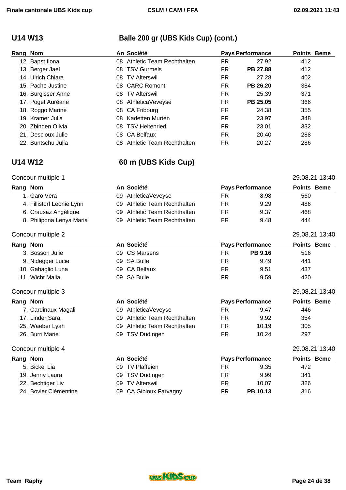# **U14 W13 Balle 200 gr (UBS Kids Cup) (cont.)**

| Rang Nom |                    |     | An Société                   |           | <b>Pays Performance</b> | <b>Points Beme</b> |  |
|----------|--------------------|-----|------------------------------|-----------|-------------------------|--------------------|--|
|          | 12. Bapst Ilona    |     | 08 Athletic Team Rechthalten | FR.       | 27.92                   | 412                |  |
|          | 13. Berger Jael    |     | 08 TSV Gurmels               | FR.       | PB 27.88                | 412                |  |
|          | 14. Ulrich Chiara  |     | 08 TV Alterswil              | FR        | 27.28                   | 402                |  |
|          | 15. Pache Justine  |     | 08 CARC Romont               | FR.       | PB 26.20                | 384                |  |
|          | 16. Bürgisser Anne | 08. | <b>TV Alterswil</b>          | FR.       | 25.39                   | 371                |  |
|          | 17. Poget Auréane  |     | 08 AthleticaVeveyse          | FR.       | PB 25.05                | 366                |  |
|          | 18. Roggo Marine   |     | 08 CA Fribourg               | FR.       | 24.38                   | 355                |  |
|          | 19. Kramer Julia   | 08. | Kadetten Murten              | FR.       | 23.97                   | 348                |  |
|          | 20. Zbinden Olivia | 08. | <b>TSV Heitenried</b>        | FR.       | 23.01                   | 332                |  |
|          | 21. Descloux Julie |     | 08 CA Belfaux                | <b>FR</b> | 20.40                   | 288                |  |
|          | 22. Buntschu Julia | 08. | Athletic Team Rechthalten    | FR        | 20.27                   | 286                |  |

## **U14 W12 60 m (UBS Kids Cup)**

### Concour multiple 1 29.08.21 13:40

| Rang Nom |                           |    | An Société                 |           | <b>Pays Performance</b> | <b>Points Beme</b> |  |
|----------|---------------------------|----|----------------------------|-----------|-------------------------|--------------------|--|
|          | 1. Garo Vera              | 09 | AthleticaVeveyse           | FR.       | 8.98                    | 560                |  |
|          | 4. Fillistorf Leonie Lynn | 09 | Athletic Team Rechthalten  | FR        | 9.29                    | 486                |  |
|          | 6. Crausaz Angélique      | 09 | Athletic Team Rechthalten  | FR.       | 9.37                    | 468                |  |
|          | 8. Philipona Lenya Maria  | 09 | Athletic Team Rechthalten  | <b>FR</b> | 9.48                    | 444                |  |
|          | Concour multiple 2        |    |                            |           |                         | 29.08.21 13:40     |  |
| Rang Nom |                           |    | An Société                 |           | <b>Pays Performance</b> | <b>Points Beme</b> |  |
|          | 3. Bosson Julie           | 09 | <b>CS Marsens</b>          | <b>FR</b> | PB 9.16                 | 516                |  |
|          | 9. Nidegger Lucie         | 09 | <b>SA Bulle</b>            | <b>FR</b> | 9.49                    | 441                |  |
|          | 10. Gabaglio Luna         | 09 | <b>CA Belfaux</b>          | FR.       | 9.51                    | 437                |  |
|          | 11. Wicht Malia           | 09 | <b>SA Bulle</b>            | <b>FR</b> | 9.59                    | 420                |  |
|          | Concour multiple 3        |    |                            |           |                         | 29.08.21 13:40     |  |
| Rang Nom |                           |    | An Société                 |           | <b>Pays Performance</b> | <b>Points Beme</b> |  |
|          | 7. Cardinaux Magali       | 09 | AthleticaVeveyse           | <b>FR</b> | 9.47                    | 446                |  |
|          | 17. Linder Sara           | 09 | Athletic Team Rechthalten  | <b>FR</b> | 9.92                    | 354                |  |
|          | 25. Waeber Lyah           | 09 | Athletic Team Rechthalten  | FR.       | 10.19                   | 305                |  |
|          | 26. Burri Marie           | 09 | TSV Düdingen               | <b>FR</b> | 10.24                   | 297                |  |
|          | Concour multiple 4        |    |                            |           |                         | 29.08.21 13:40     |  |
| Rang Nom |                           |    | An Société                 |           | <b>Pays Performance</b> | <b>Points Beme</b> |  |
|          | 5. Bickel Lia             | 09 | <b>TV Plaffeien</b>        | <b>FR</b> | 9.35                    | 472                |  |
|          | 19. Jenny Laura           | 09 | TSV Düdingen               | FR.       | 9.99                    | 341                |  |
|          | 22. Bechtiger Liv         | 09 | <b>TV Alterswil</b>        | <b>FR</b> | 10.07                   | 326                |  |
|          | 24. Bovier Clémentine     | 09 | <b>CA Gibloux Farvagny</b> | <b>FR</b> | PB 10.13                | 316                |  |

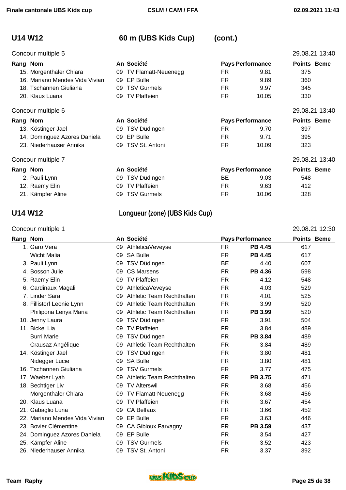## **U14 W12 60 m (UBS Kids Cup) (cont.)**

| Concour multiple 5             |  |                        |     |                         |                    |  |  |
|--------------------------------|--|------------------------|-----|-------------------------|--------------------|--|--|
| Rang Nom                       |  | An Société             |     | <b>Pays Performance</b> | <b>Points Beme</b> |  |  |
| 15. Morgenthaler Chiara        |  | 09 TV Flamatt-Neuenegg | FR  | 9.81                    | 375                |  |  |
| 16. Mariano Mendes Vida Vivian |  | 09 EP Bulle            | FR. | 9.89                    | 360                |  |  |
| 18. Tschannen Giuliana         |  | 09 TSV Gurmels         | FR  | 9.97                    | 345                |  |  |
| 20. Klaus Luana                |  | 09 TV Plaffeien        | FR  | 10.05                   | 330                |  |  |

### Concour multiple 6 29.08.21 13:40

| Rang Nom |                              | An Société        | <b>Pays Performance</b> |       | <b>Points Beme</b> |
|----------|------------------------------|-------------------|-------------------------|-------|--------------------|
|          | 13. Köstinger Jael           | 09 TSV Düdingen   | FК                      | 9.70  | 397                |
|          | 14. Dominguez Azores Daniela | 09 EP Bulle       | FR                      | 9.71  | 395                |
|          | 23. Niederhauser Annika      | 09 TSV St. Antoni | FR                      | 10.09 | 323                |

### Concour multiple 7 29.08.21 13:40

| Rang Nom          | An Société      | <b>Pays Performance</b> | <b>Points Beme</b> |
|-------------------|-----------------|-------------------------|--------------------|
| 2. Pauli Lynn     | 09 TSV Düdingen | ВE<br>9.03              | 548                |
| 12. Raemy Elin    | 09 TV Plaffeien | FR<br>9.63              | 412                |
| 21. Kämpfer Aline | 09 TSV Gurmels  | 10.06<br>FR             | 328                |

### **U14 W12 Longueur (zone) (UBS Kids Cup)**

### Concour multiple 1 29.08.21 12:30 **Rang Nom An Société Pays Performance Points Beme**  1. Garo Vera 09 AthleticaVeveyse FR **PB 4.45** 617 Wicht Malia 09 SA Bulle FR **PB 4.45** 617 3. Pauli Lynn 09 TSV Düdingen BE 4.40 607 4. Bosson Julie 09 CS Marsens FR **PB 4.36** 598 5. Raemy Elin 09 TV Plaffeien FR 4.12 548 6. Cardinaux Magali 09 AthleticaVeveyse FR 4.03 529 7. Linder Sara 09 Athletic Team Rechthalten FR 4.01 525 8. Fillistorf Leonie Lynn **09 Athletic Team Rechthalten** FR 3.99 520 Philipona Lenya Maria **09 Athletic Team Rechthalten** FR PB 3.99 520 10. Jenny Laura 09 TSV Düdingen FR 3.91 504 11. Bickel Lia **11. Bickel Lia Company 11. Bickel Lia** Company 11. Bickel Lia Company 1489 Burri Marie 09 TSV Düdingen FR **PB 3.84** 489 Crausaz Angélique 09 Athletic Team Rechthalten FR 3.84 489 14. Köstinger Jael **14. Köstinger Jael 14. Köstinger Jael** 14. Köstinger Jael 181 Nidegger Lucie 09 SA Bulle FR 3.80 481 16. Tschannen Giuliana 09 TSV Gurmels FR 3.77 475 17. Waeber Lyah 09 Athletic Team Rechthalten FR **PB 3.75** 471 18. Bechtiger Liv **18. Bechtiger Live Community Community** O9 TV Alterswil **FR** 63.68 456 Morgenthaler Chiara **09 TV Flamatt-Neuenegg** FR 3.68 456 20. Klaus Luana 09 TV Plaffeien FR 3.67 454 21. Gabaglio Luna 09 CA Belfaux FR 3.66 452 22. Mariano Mendes Vida Vivian (09 EP Bulle The Contract Framework of the Superintendent Superintendent Superintendent Superintendent Superintendent Superintendent Superintendent Superintendent Superintendent Superintenden 23. Bovier Clémentine 09 CA Gibloux Farvagny FR **PB 3.59** 437 24. Dominguez Azores Daniela 09 EP Bulle FR 3.54 427 25. Kämpfer Aline 09 TSV Gurmels FR 3.52 423 26. Niederhauser Annika 09 TSV St. Antoni FR 3.37 392

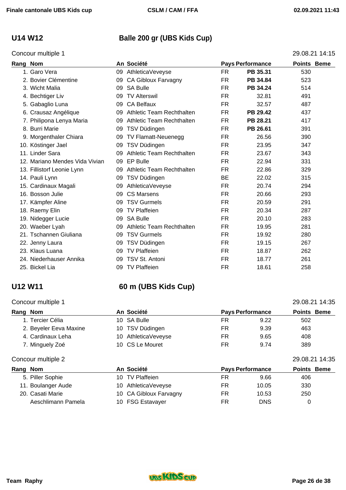### Concour multiple 1 29.08.21 14:15

# **U14 W12 Balle 200 gr (UBS Kids Cup)**

| Rang Nom |                                |    | An Société                 |           | <b>Pays Performance</b> | <b>Points Beme</b> |  |
|----------|--------------------------------|----|----------------------------|-----------|-------------------------|--------------------|--|
|          | 1. Garo Vera                   | 09 | AthleticaVeveyse           | FR        | PB 35.31                | 530                |  |
|          | 2. Bovier Clémentine           | 09 | <b>CA Gibloux Farvagny</b> | <b>FR</b> | PB 34.84                | 523                |  |
|          | 3. Wicht Malia                 | 09 | <b>SA Bulle</b>            | FR        | PB 34.24                | 514                |  |
|          | 4. Bechtiger Liv               | 09 | <b>TV Alterswil</b>        | <b>FR</b> | 32.81                   | 491                |  |
|          | 5. Gabaglio Luna               | 09 | <b>CA Belfaux</b>          | <b>FR</b> | 32.57                   | 487                |  |
|          | 6. Crausaz Angélique           | 09 | Athletic Team Rechthalten  | FR        | PB 29.42                | 437                |  |
|          | 7. Philipona Lenya Maria       | 09 | Athletic Team Rechthalten  | <b>FR</b> | PB 28.21                | 417                |  |
|          | 8. Burri Marie                 | 09 | TSV Düdingen               | FR.       | PB 26.61                | 391                |  |
|          | 9. Morgenthaler Chiara         | 09 | TV Flamatt-Neuenegg        | FR        | 26.56                   | 390                |  |
|          | 10. Köstinger Jael             | 09 | <b>TSV Düdingen</b>        | FR        | 23.95                   | 347                |  |
|          | 11. Linder Sara                | 09 | Athletic Team Rechthalten  | FR        | 23.67                   | 343                |  |
|          | 12. Mariano Mendes Vida Vivian | 09 | EP Bulle                   | FR        | 22.94                   | 331                |  |
|          | 13. Fillistorf Leonie Lynn     | 09 | Athletic Team Rechthalten  | <b>FR</b> | 22.86                   | 329                |  |
|          | 14. Pauli Lynn                 | 09 | TSV Düdingen               | <b>BE</b> | 22.02                   | 315                |  |
|          | 15. Cardinaux Magali           | 09 | AthleticaVeveyse           | FR.       | 20.74                   | 294                |  |
|          | 16. Bosson Julie               | 09 | <b>CS Marsens</b>          | <b>FR</b> | 20.66                   | 293                |  |
|          | 17. Kämpfer Aline              | 09 | <b>TSV Gurmels</b>         | <b>FR</b> | 20.59                   | 291                |  |
|          | 18. Raemy Elin                 | 09 | <b>TV Plaffeien</b>        | <b>FR</b> | 20.34                   | 287                |  |
|          | 19. Nidegger Lucie             | 09 | <b>SA Bulle</b>            | <b>FR</b> | 20.10                   | 283                |  |
|          | 20. Waeber Lyah                | 09 | Athletic Team Rechthalten  | FR        | 19.95                   | 281                |  |
|          | 21. Tschannen Giuliana         | 09 | <b>TSV Gurmels</b>         | FR.       | 19.92                   | 280                |  |
|          | 22. Jenny Laura                | 09 | TSV Düdingen               | FR.       | 19.15                   | 267                |  |
|          | 23. Klaus Luana                | 09 | <b>TV Plaffeien</b>        | <b>FR</b> | 18.87                   | 262                |  |
|          | 24. Niederhauser Annika        | 09 | <b>TSV St. Antoni</b>      | FR        | 18.77                   | 261                |  |
|          | 25. Bickel Lia                 | 09 | <b>TV Plaffeien</b>        | FR        | 18.61                   | 258                |  |

## **U12 W11 60 m (UBS Kids Cup)**

### Concour multiple 1 29.08.21 14:35

| Rang Nom               | An Société                 |    | <b>Pays Performance</b> | <b>Points Beme</b> |
|------------------------|----------------------------|----|-------------------------|--------------------|
| 1. Tercier Célia       | 10 SA Bulle                | FR | 9.22                    | 502                |
| 2. Beyeler Eeva Maxine | TSV Düdingen<br>10.        | FR | 9.39                    | 463                |
| 4. Cardinaux Leha      | AthleticaVeveyse<br>10     | FR | 9.65                    | 408                |
| 7. Minguely Zoé        | 10 CS Le Mouret            | FR | 9.74                    | 389                |
| Concour multiple 2     |                            |    |                         | 29.08.21 14:35     |
| Rang Nom               | An Société                 |    | <b>Pays Performance</b> | <b>Points Beme</b> |
| 5. Piller Sophie       | <b>TV Plaffeien</b><br>10. | FR | 9.66                    | 406                |
| 11. Boulanger Aude     | AthleticaVeveyse<br>10     | FR | 10.05                   | 330                |
| 20. Casati Marie       | 10 CA Gibloux Farvagny     | FR | 10.53                   | 250                |
| Aeschlimann Pamela     | 10 FSG Estavayer           | FR | <b>DNS</b>              | 0                  |

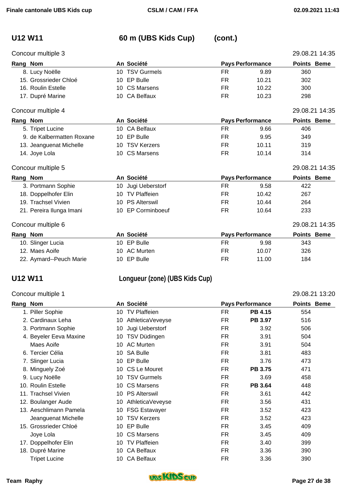## **U12 W11 60 m (UBS Kids Cup) (cont.)**

|          | Concour multiple 3        |    |                       |           |                         | 29.08.21 14:35     |
|----------|---------------------------|----|-----------------------|-----------|-------------------------|--------------------|
| Rang Nom |                           |    | An Société            |           | <b>Pays Performance</b> | Points Beme        |
|          | 8. Lucy Noëlle            | 10 | <b>TSV Gurmels</b>    | FR.       | 9.89                    | 360                |
|          | 15. Grossrieder Chloé     | 10 | <b>EP Bulle</b>       | FR        | 10.21                   | 302                |
|          | 16. Roulin Estelle        | 10 | <b>CS Marsens</b>     | FR.       | 10.22                   | 300                |
|          | 17. Dupré Marine          | 10 | <b>CA Belfaux</b>     | <b>FR</b> | 10.23                   | 298                |
|          | Concour multiple 4        |    |                       |           |                         | 29.08.21 14:35     |
| Rang Nom |                           |    | An Société            |           | <b>Pays Performance</b> | <b>Points Beme</b> |
|          | 5. Tripet Lucine          | 10 | <b>CA Belfaux</b>     | FR.       | 9.66                    | 406                |
|          | 9. de Kalbermatten Roxane |    | 10 EP Bulle           | FR        | 9.95                    | 349                |
|          | 13. Jeanguenat Michelle   | 10 | <b>TSV Kerzers</b>    | FR.       | 10.11                   | 319                |
|          | 14. Joye Lola             | 10 | <b>CS Marsens</b>     | FR        | 10.14                   | 314                |
|          | Concour multiple 5        |    |                       |           |                         | 29.08.21 14:35     |
| Rang Nom |                           |    | An Société            |           | <b>Pays Performance</b> | <b>Points Beme</b> |
|          | 3. Portmann Sophie        | 10 | Jugi Ueberstorf       | <b>FR</b> | 9.58                    | 422                |
|          | 18. Doppelhofer Elin      | 10 | <b>TV Plaffeien</b>   | FR.       | 10.42                   | 267                |
|          | 19. Trachsel Vivien       | 10 | <b>PS Alterswil</b>   | FR.       | 10.44                   | 264                |
|          | 21. Pereira Ilunga Imani  | 10 | <b>EP Corminboeuf</b> | <b>FR</b> | 10.64                   | 233                |
|          | Concour multiple 6        |    |                       |           |                         | 29.08.21 14:35     |
| Rang Nom |                           |    | An Société            |           | <b>Pays Performance</b> | <b>Points Beme</b> |
|          | 10. Slinger Lucia         |    | 10 EP Bulle           | FR        | 9.98                    | 343                |

# 12. Maes Aoife **10 AC Murten 10 AC Murten 10 AC Murten** FR 10.07 326 22. Aymard--Peuch Marie 10 EP Bulle 10 FR 11.00 184

## **U12 W11 Longueur (zone) (UBS Kids Cup)**

### Concour multiple 1 29.08.21 13:20 **Rang Nom An Société Pays Performance Points Beme**  1. Piller Sophie 10 TV Plaffeien FR **PB 4.15** 554 2. Cardinaux Leha 10 AthleticaVeveyse FR **PB 3.97** 516 3. Portmann Sophie **10 Jugi Ueberstorf** FR 3.92 506 4. Beyeler Eeva Maxine **10 TSV Düdingen** FR 3.91 504 Maes Aoife **10 AC Murten 10 AC Murten** FR 3.91 504 6. Tercier Célia 10 SA Bulle FR 3.81 483 7. Slinger Lucia **10 EP Bulle** FR 3.76 473 8. Minguely Zoé **10 CS Le Mouret 6 17 CS Le Mouret** FR **PB 3.75** 471 9. Lucy Noëlle **10 TSV Gurmels** FR 3.69 458 10. Roulin Estelle 10 CS Marsens FR **PB 3.64** 448 11. Trachsel Vivien **10 PS Alterswil** FR 3.61 442 12. Boulanger Aude 10 AthleticaVeveyse FR 3.56 431 13. Aeschlimann Pamela 10 FSG Estavayer 19 FR 3.52 423 Jeanguenat Michelle 10 TSV Kerzers FR 3.52 423 15. Grossrieder Chloé 10 EP Bulle FR 3.45 409 Joye Lola 10 CS Marsens FR 3.45 409 17. Doppelhofer Elin 10 TV Plaffeien 10 FR 3.40 399 18. Dupré Marine 10 CA Belfaux 10 CA Belfaux 10 CA Belfaux 10 CA Belfaux 10 CA Belfaux 10 CA Belfaux 10 CA Belfaux 10 CA Belfaux 10 CA Belfaux 10 CA Belfaux 10 CA Belfaux 10 CA Belfaux 10 CA Belfaux 10 CA Belfaux 10 CA Bel Tripet Lucine **10 CA Belfaux** FR 3.36 390

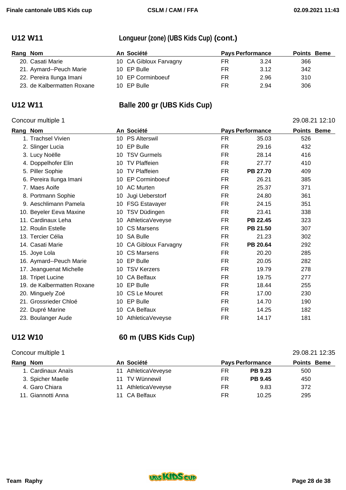## **U12 W11 Longueur (zone) (UBS Kids Cup) (cont.)**

| Rang Nom |                            | An Société             | <b>Pays Performance</b> |      |     | <b>Points Beme</b> |
|----------|----------------------------|------------------------|-------------------------|------|-----|--------------------|
|          | 20. Casati Marie           | 10 CA Gibloux Farvagny | FR                      | 3.24 | 366 |                    |
|          | 21. Aymard--Peuch Marie    | 10 EP Bulle            | FR                      | 3.12 | 342 |                    |
|          | 22. Pereira Ilunga Imani   | 10 EP Corminboeuf      | FR                      | 2.96 | 310 |                    |
|          | 23. de Kalbermatten Roxane | 10 EP Bulle            | FR                      | 2.94 | 306 |                    |

## **U12 W11 Balle 200 gr (UBS Kids Cup)**

## Concour multiple 1 29.08.21 12:10

| Rang<br><b>Nom</b>         | An Société                |           | <b>Pays Performance</b> | <b>Points Beme</b> |
|----------------------------|---------------------------|-----------|-------------------------|--------------------|
| 1. Trachsel Vivien         | 10 PS Alterswil           | FR.       | 35.03                   | 526                |
| 2. Slinger Lucia           | 10 EP Bulle               | FR        | 29.16                   | 432                |
| 3. Lucy Noëlle             | <b>TSV Gurmels</b><br>10  | FR        | 28.14                   | 416                |
| 4. Doppelhofer Elin        | 10 TV Plaffeien           | FR.       | 27.77                   | 410                |
| 5. Piller Sophie           | <b>TV Plaffeien</b><br>10 | <b>FR</b> | PB 27.70                | 409                |
| 6. Pereira Ilunga Imani    | 10 EP Corminboeuf         | <b>FR</b> | 26.21                   | 385                |
| 7. Maes Aoife              | 10 AC Murten              | FR.       | 25.37                   | 371                |
| 8. Portmann Sophie         | Jugi Ueberstorf<br>10     | <b>FR</b> | 24.80                   | 361                |
| 9. Aeschlimann Pamela      | 10 FSG Estavayer          | FR        | 24.15                   | 351                |
| 10. Beyeler Eeva Maxine    | TSV Düdingen<br>10        | FR.       | 23.41                   | 338                |
| 11. Cardinaux Leha         | AthleticaVeveyse<br>10    | FR.       | PB 22.45                | 323                |
| 12. Roulin Estelle         | <b>CS Marsens</b><br>10   | <b>FR</b> | PB 21.50                | 307                |
| 13. Tercier Célia          | <b>SA Bulle</b><br>10     | FR.       | 21.23                   | 302                |
| 14. Casati Marie           | 10 CA Gibloux Farvagny    | FR.       | PB 20.64                | 292                |
| 15. Joye Lola              | <b>CS Marsens</b><br>10   | FR        | 20.20                   | 285                |
| 16. Aymard--Peuch Marie    | 10 EP Bulle               | FR.       | 20.05                   | 282                |
| 17. Jeanguenat Michelle    | <b>TSV Kerzers</b><br>10  | FR.       | 19.79                   | 278                |
| 18. Tripet Lucine          | 10 CA Belfaux             | <b>FR</b> | 19.75                   | 277                |
| 19. de Kalbermatten Roxane | 10 EP Bulle               | <b>FR</b> | 18.44                   | 255                |
| 20. Minguely Zoé           | 10 CS Le Mouret           | FR.       | 17.00                   | 230                |
| 21. Grossrieder Chloé      | 10 EP Bulle               | FR.       | 14.70                   | 190                |
| 22. Dupré Marine           | <b>CA Belfaux</b><br>10   | FR        | 14.25                   | 182                |
| 23. Boulanger Aude         | 10 AthleticaVeveyse       | FR        | 14.17                   | 181                |

## **U12 W10 60 m (UBS Kids Cup)**

### Concour multiple 1 29.08.21 12:35

| Rang Nom |                    | An Société          | <b>Pays Performance</b> |                | <b>Points Beme</b> |  |
|----------|--------------------|---------------------|-------------------------|----------------|--------------------|--|
|          | 1. Cardinaux Anaïs | 11 AthleticaVeveyse | FR                      | <b>PB 9.23</b> | 500                |  |
|          | 3. Spicher Maelle  | 11 TV Wünnewil      | FR                      | <b>PB 9.45</b> | 450                |  |
|          | 4. Garo Chiara     | 11 AthleticaVeveyse | FR                      | 9.83           | 372                |  |
|          | 11. Giannotti Anna | 11 CA Belfaux       | FR                      | 10.25          | 295                |  |

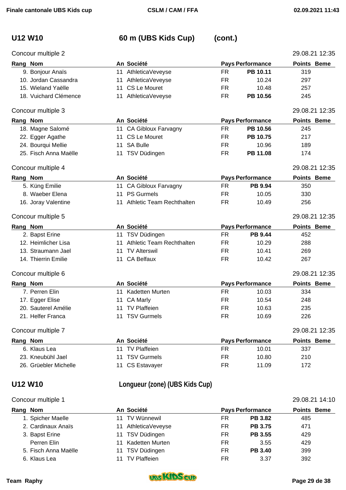# **U12 W10 60 m (UBS Kids Cup) (cont.)**

| Concour multiple 2    |    |                                |           |                         | 29.08.21 12:35     |
|-----------------------|----|--------------------------------|-----------|-------------------------|--------------------|
| Rang Nom              |    | An Société                     |           | <b>Pays Performance</b> | Points Beme        |
| 9. Bonjour Anaïs      |    | 11 AthleticaVeveyse            | <b>FR</b> | PB 10.11                | 319                |
| 10. Jordan Cassandra  | 11 | AthleticaVeveyse               | <b>FR</b> | 10.24                   | 297                |
| 15. Wieland Yaëlle    | 11 | <b>CS Le Mouret</b>            | <b>FR</b> | 10.48                   | 257                |
| 18. Vuichard Clémence |    | 11 AthleticaVeveyse            | <b>FR</b> | PB 10.56                | 245                |
| Concour multiple 3    |    |                                |           |                         | 29.08.21 12:35     |
| Rang Nom              |    | An Société                     |           | <b>Pays Performance</b> | <b>Points Beme</b> |
| 18. Magne Salomé      |    | 11 CA Gibloux Farvagny         | <b>FR</b> | PB 10.56                | 245                |
| 22. Egger Agathe      | 11 | <b>CS Le Mouret</b>            | <b>FR</b> | PB 10.75                | 217                |
| 24. Bourqui Mellie    | 11 | <b>SA Bulle</b>                | <b>FR</b> | 10.96                   | 189                |
| 25. Fisch Anna Maëlle |    | 11 TSV Düdingen                | <b>FR</b> | PB 11.08                | 174                |
| Concour multiple 4    |    |                                |           |                         | 29.08.21 12:35     |
| Rang Nom              |    | An Société                     |           | <b>Pays Performance</b> | Points Beme        |
| 5. Küng Emilie        | 11 | CA Gibloux Farvagny            | <b>FR</b> | PB 9.94                 | 350                |
| 8. Waeber Elena       |    | 11 PS Gurmels                  | FR.       | 10.05                   | 330                |
| 16. Joray Valentine   |    | 11 Athletic Team Rechthalten   | <b>FR</b> | 10.49                   | 256                |
| Concour multiple 5    |    |                                |           |                         | 29.08.21 12:35     |
| Rang Nom              |    | An Société                     |           | <b>Pays Performance</b> | Points Beme        |
| 2. Bapst Erine        |    | 11 TSV Düdingen                | <b>FR</b> | <b>PB 9.44</b>          | 452                |
| 12. Heimlicher Lisa   | 11 | Athletic Team Rechthalten      | FR.       | 10.29                   | 288                |
| 13. Straumann Jael    | 11 | <b>TV Alterswil</b>            | <b>FR</b> | 10.41                   | 269                |
| 14. Thierrin Emilie   | 11 | <b>CA Belfaux</b>              | <b>FR</b> | 10.42                   | 267                |
| Concour multiple 6    |    |                                |           |                         | 29.08.21 12:35     |
| Rang Nom              |    | An Société                     |           | <b>Pays Performance</b> | Points Beme        |
| 7. Perren Elin        |    | 11 Kadetten Murten             | <b>FR</b> | 10.03                   | 334                |
| 17. Egger Elise       | 11 | CA Marly                       | <b>FR</b> | 10.54                   | 248                |
| 20. Sauterel Amélie   | 11 | <b>TV Plaffeien</b>            | <b>FR</b> | 10.63                   | 235                |
| 21. Helfer Franca     |    | 11 TSV Gurmels                 | FR.       | 10.69                   | 226                |
| Concour multiple 7    |    |                                |           |                         | 29.08.21 12:35     |
| Rang Nom              |    | An Société                     |           | <b>Pays Performance</b> | Points Beme        |
| 6. Klaus Lea          |    | 11 TV Plaffeien                | FR.       | 10.01                   | 337                |
| 23. Kneubühl Jael     | 11 | <b>TSV Gurmels</b>             | <b>FR</b> | 10.80                   | 210                |
| 26. Grüebler Michelle |    | 11 CS Estavayer                | FR        | 11.09                   | 172                |
| <b>U12 W10</b>        |    | Longueur (zone) (UBS Kids Cup) |           |                         |                    |

### Concour multiple 1 29.08.21 14:10

| Rang Nom             | An Société             |    | <b>Pays Performance</b> | <b>Points Beme</b> |
|----------------------|------------------------|----|-------------------------|--------------------|
| 1. Spicher Maelle    | 11 TV Wünnewil         | FR | <b>PB 3.82</b>          | 485                |
| 2. Cardinaux Anaïs   | AthleticaVeveyse<br>11 | FR | <b>PB 3.75</b>          | 471                |
| 3. Bapst Erine       | 11 TSV Düdingen        | FR | <b>PB 3.55</b>          | 429                |
| Perren Elin          | Kadetten Murten        | FR | 3.55                    | 429                |
| 5. Fisch Anna Maëlle | TSV Düdingen<br>11     | FR | <b>PB 3.40</b>          | 399                |
| 6. Klaus Lea         | <b>TV Plaffeien</b>    | FR | 3.37                    | 392                |

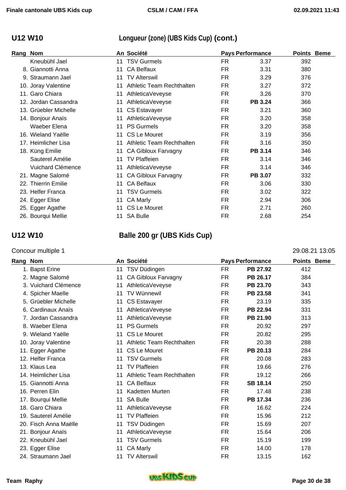# **U12 W10 Longueur (zone) (UBS Kids Cup) (cont.)**

| Rang | <b>Nom</b>            |    | An Société                 |           | <b>Pays Performance</b> | <b>Points Beme</b> |  |
|------|-----------------------|----|----------------------------|-----------|-------------------------|--------------------|--|
|      | Kneubühl Jael         |    | 11 TSV Gurmels             | <b>FR</b> | 3.37                    | 392                |  |
|      | 8. Giannotti Anna     | 11 | <b>CA Belfaux</b>          | FR.       | 3.31                    | 380                |  |
|      | 9. Straumann Jael     | 11 | <b>TV Alterswil</b>        | <b>FR</b> | 3.29                    | 376                |  |
|      | 10. Joray Valentine   | 11 | Athletic Team Rechthalten  | <b>FR</b> | 3.27                    | 372                |  |
|      | 11. Garo Chiara       | 11 | AthleticaVeveyse           | <b>FR</b> | 3.26                    | 370                |  |
|      | 12. Jordan Cassandra  | 11 | AthleticaVeveyse           | <b>FR</b> | <b>PB 3.24</b>          | 366                |  |
|      | 13. Grüebler Michelle | 11 | <b>CS Estavayer</b>        | FR.       | 3.21                    | 360                |  |
|      | 14. Bonjour Anaïs     | 11 | AthleticaVeveyse           | <b>FR</b> | 3.20                    | 358                |  |
|      | Waeber Elena          | 11 | <b>PS Gurmels</b>          | FR.       | 3.20                    | 358                |  |
|      | 16. Wieland Yaëlle    | 11 | CS Le Mouret               | FR.       | 3.19                    | 356                |  |
|      | 17. Heimlicher Lisa   | 11 | Athletic Team Rechthalten  | <b>FR</b> | 3.16                    | 350                |  |
|      | 18. Küng Emilie       | 11 | <b>CA Gibloux Farvagny</b> | FR.       | <b>PB 3.14</b>          | 346                |  |
|      | Sauterel Amélie       | 11 | <b>TV Plaffeien</b>        | FR        | 3.14                    | 346                |  |
|      | Vuichard Clémence     | 11 | AthleticaVeveyse           | FR.       | 3.14                    | 346                |  |
|      | 21. Magne Salomé      | 11 | <b>CA Gibloux Farvagny</b> | <b>FR</b> | PB 3.07                 | 332                |  |
|      | 22. Thierrin Emilie   | 11 | <b>CA Belfaux</b>          | FR        | 3.06                    | 330                |  |
|      | 23. Helfer Franca     | 11 | <b>TSV Gurmels</b>         | <b>FR</b> | 3.02                    | 322                |  |
|      | 24. Egger Elise       | 11 | CA Marly                   | <b>FR</b> | 2.94                    | 306                |  |
|      | 25. Egger Agathe      | 11 | CS Le Mouret               | FR.       | 2.71                    | 260                |  |
|      | 26. Bourqui Mellie    |    | 11 SA Bulle                | <b>FR</b> | 2.68                    | 254                |  |

# **U12 W10 Balle 200 gr (UBS Kids Cup)**

### Concour multiple 1 29.08.21 13:05

| <b>Rang</b> | <b>Nom</b>            |    | An Société                 |           | <b>Pays Performance</b> | <b>Points Beme</b> |  |
|-------------|-----------------------|----|----------------------------|-----------|-------------------------|--------------------|--|
|             | 1. Bapst Erine        | 11 | TSV Düdingen               | FR        | PB 27.92                | 412                |  |
|             | 2. Magne Salomé       | 11 | <b>CA Gibloux Farvagny</b> | FR        | PB 26.17                | 384                |  |
|             | 3. Vuichard Clémence  | 11 | AthleticaVeveyse           | FR.       | PB 23.70                | 343                |  |
|             | 4. Spicher Maelle     | 11 | TV Wünnewil                | FR.       | PB 23.58                | 341                |  |
|             | 5. Grüebler Michelle  | 11 | <b>CS Estavayer</b>        | FR.       | 23.19                   | 335                |  |
|             | 6. Cardinaux Anaïs    | 11 | AthleticaVeveyse           | FR.       | PB 22.94                | 331                |  |
|             | 7. Jordan Cassandra   | 11 | AthleticaVeveyse           | FR.       | PB 21.90                | 313                |  |
|             | 8. Waeber Elena       |    | 11 PS Gurmels              | FR.       | 20.92                   | 297                |  |
|             | 9. Wieland Yaëlle     | 11 | <b>CS Le Mouret</b>        | FR.       | 20.82                   | 295                |  |
|             | 10. Joray Valentine   | 11 | Athletic Team Rechthalten  | FR.       | 20.38                   | 288                |  |
|             | 11. Egger Agathe      | 11 | CS Le Mouret               | FR.       | PB 20.13                | 284                |  |
|             | 12. Helfer Franca     | 11 | <b>TSV Gurmels</b>         | <b>FR</b> | 20.08                   | 283                |  |
|             | 13. Klaus Lea         | 11 | <b>TV Plaffeien</b>        | <b>FR</b> | 19.66                   | 276                |  |
|             | 14. Heimlicher Lisa   | 11 | Athletic Team Rechthalten  | FR.       | 19.12                   | 266                |  |
|             | 15. Giannotti Anna    | 11 | <b>CA Belfaux</b>          | FR.       | <b>SB 18.14</b>         | 250                |  |
|             | 16. Perren Elin       | 11 | Kadetten Murten            | FR.       | 17.48                   | 238                |  |
|             | 17. Bourqui Mellie    | 11 | <b>SA Bulle</b>            | FR.       | PB 17.34                | 236                |  |
|             | 18. Garo Chiara       | 11 | AthleticaVeveyse           | FR.       | 16.62                   | 224                |  |
|             | 19. Sauterel Amélie   | 11 | <b>TV Plaffeien</b>        | FR.       | 15.96                   | 212                |  |
|             | 20. Fisch Anna Maëlle | 11 | TSV Düdingen               | FR        | 15.69                   | 207                |  |
|             | 21. Bonjour Anaïs     | 11 | AthleticaVeveyse           | FR        | 15.64                   | 206                |  |
|             | 22. Kneubühl Jael     | 11 | <b>TSV Gurmels</b>         | FR        | 15.19                   | 199                |  |
|             | 23. Egger Elise       | 11 | CA Marly                   | FR.       | 14.00                   | 178                |  |
|             | 24. Straumann Jael    | 11 | <b>TV Alterswil</b>        | <b>FR</b> | 13.15                   | 162                |  |

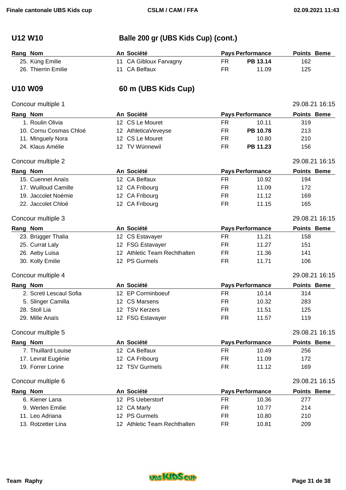# **U12 W10 Balle 200 gr (UBS Kids Cup) (cont.)**

| Rang Nom |                     | An Société             |    | <b>Pays Performance</b> | <b>Points Beme</b> |  |
|----------|---------------------|------------------------|----|-------------------------|--------------------|--|
|          | 25. Küng Emilie     | 11 CA Gibloux Farvagny |    | PB 13.14                | 162.               |  |
|          | 26. Thierrin Emilie | 11 CA Belfaux          | FR | 11.09                   | 125                |  |

## **U10 W09 60 m (UBS Kids Cup)**

### Concour multiple 1 29.08.21 16:15

|          | Rang Nom                | An Société                   |           | <b>Pays Performance</b> | <b>Points Beme</b> |  |
|----------|-------------------------|------------------------------|-----------|-------------------------|--------------------|--|
|          | 1. Roulin Olivia        | 12 CS Le Mouret              | <b>FR</b> | 10.11                   | 319                |  |
|          | 10. Cornu Cosmas Chloé  | 12 AthleticaVeveyse          | <b>FR</b> | PB 10.78                | 213                |  |
|          | 11. Minguely Nora       | 12 CS Le Mouret              | <b>FR</b> | 10.80                   | 210                |  |
|          | 24. Klaus Amélie        | 12 TV Wünnewil               | <b>FR</b> | PB 11.23                | 156                |  |
|          | Concour multiple 2      |                              |           |                         | 29.08.21 16:15     |  |
| Rang Nom |                         | An Société                   |           | <b>Pays Performance</b> | Points Beme        |  |
|          | 15. Cuennet Anaïs       | 12 CA Belfaux                | FR.       | 10.92                   | 194                |  |
|          | 17. Wuilloud Camille    | 12 CA Fribourg               | <b>FR</b> | 11.09                   | 172                |  |
|          | 19. Jaccolet Noémie     | 12 CA Fribourg               | FR.       | 11.12                   | 169                |  |
|          | 22. Jaccolet Chloé      | 12 CA Fribourg               | <b>FR</b> | 11.15                   | 165                |  |
|          | Concour multiple 3      |                              |           |                         | 29.08.21 16:15     |  |
| Rang Nom |                         | An Société                   |           | <b>Pays Performance</b> | Points Beme        |  |
|          | 23. Brügger Thalia      | 12 CS Estavayer              | <b>FR</b> | 11.21                   | 158                |  |
|          | 25. Currat Laly         | 12 FSG Estavayer             | <b>FR</b> | 11.27                   | 151                |  |
|          | 26. Aeby Luisa          | 12 Athletic Team Rechthalten | <b>FR</b> | 11.36                   | 141                |  |
|          | 30. Kolly Emilie        | 12 PS Gurmels                | <b>FR</b> | 11.71                   | 106                |  |
|          | Concour multiple 4      |                              |           |                         | 29.08.21 16:15     |  |
|          | Rang Nom                | An Société                   |           | <b>Pays Performance</b> | <b>Points Beme</b> |  |
|          | 2. Screti Lescaul Sofia | 12 EP Corminboeuf            | FR.       | 10.14                   | 314                |  |
|          | 5. Slinger Camilla      | 12 CS Marsens                | <b>FR</b> | 10.32                   | 283                |  |
|          | 28. Stoll Lia           | 12 TSV Kerzers               | FR.       | 11.51                   | 125                |  |
|          | 29. Mille Anaïs         | 12 FSG Estavayer             | <b>FR</b> | 11.57                   | 119                |  |
|          | Concour multiple 5      |                              |           |                         | 29.08.21 16:15     |  |
| Rang Nom |                         | An Société                   |           | <b>Pays Performance</b> | <b>Points Beme</b> |  |
|          | 7. Thuillard Louise     | 12 CA Belfaux                | FR.       | 10.49                   | 256                |  |
|          | 17. Levrat Eugénie      | 12 CA Fribourg               | <b>FR</b> | 11.09                   | 172                |  |
|          | 19. Forrer Lorine       | 12 TSV Gurmels               | <b>FR</b> | 11.12                   | 169                |  |
|          | Concour multiple 6      |                              |           |                         | 29.08.21 16:15     |  |
| Rang Nom |                         | An Société                   |           | <b>Pays Performance</b> | Points Beme        |  |
|          | 6. Kiener Lana          | 12 PS Ueberstorf             | <b>FR</b> | 10.36                   | 277                |  |
|          | 9. Werlen Emilie        | 12 CA Marly                  | <b>FR</b> | 10.77                   | 214                |  |
|          | 11. Leo Adriana         | 12 PS Gurmels                | <b>FR</b> | 10.80                   | 210                |  |

13. Rotzetter Lina 12 Athletic Team Rechthalten FR 10.81 209

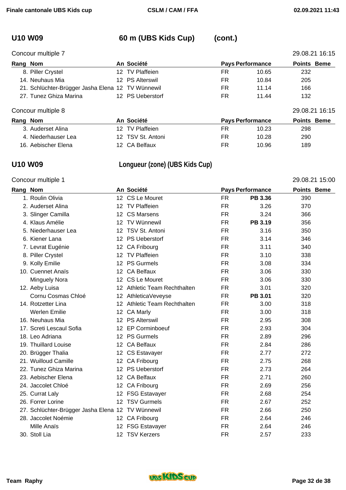# **U10 W09 60 m (UBS Kids Cup) (cont.)**

Concour multiple 7 29.08.21 16:15

| Rang Nom |                                                   | An Société       |    | <b>Pays Performance</b> | <b>Points Beme</b> |
|----------|---------------------------------------------------|------------------|----|-------------------------|--------------------|
|          | 8. Piller Crystel                                 | 12 TV Plaffeien  | FR | 10.65                   | 232                |
|          | 14. Neuhaus Mia                                   | 12 PS Alterswil  | FR | 10.84                   | 205                |
|          | 21. Schlüchter-Brügger Jasha Elena 12 TV Wünnewil |                  | FR | 11.14                   | 166                |
|          | 27. Tunez Ghiza Marina                            | 12 PS Ueberstorf | FR | 11.44                   | 132                |
|          | Concour multiple 8                                |                  |    |                         | 29.08.21 16:15     |

| Rang Nom            | An Société        | <b>Pays Performance</b> | <b>Points Beme</b> |
|---------------------|-------------------|-------------------------|--------------------|
| 3. Auderset Alina   | 12 TV Plaffeien   | 10.23<br>FR             | 298                |
| 4. Niederhauser Lea | 12 TSV St. Antoni | 10.28<br>FR             | 290                |
| 16. Aebischer Elena | 12 CA Belfaux     | 10.96<br>FR             | 189                |

# **U10 W09 Longueur (zone) (UBS Kids Cup)**

## Concour multiple 1 29.08.21 15:00

| Rang Nom |                                                   |                  | An Société                   | <b>Pays Performance</b> |         | <b>Points Beme</b> |  |
|----------|---------------------------------------------------|------------------|------------------------------|-------------------------|---------|--------------------|--|
|          | 1. Roulin Olivia                                  |                  | 12 CS Le Mouret              | <b>FR</b>               | PB 3.36 | 390                |  |
|          | 2. Auderset Alina                                 | 12 <sup>°</sup>  | <b>TV Plaffeien</b>          | <b>FR</b>               | 3.26    | 370                |  |
|          | 3. Slinger Camilla                                |                  | 12 CS Marsens                | FR                      | 3.24    | 366                |  |
|          | 4. Klaus Amélie                                   | 12 <sup>1</sup>  | TV Wünnewil                  | <b>FR</b>               | PB 3.19 | 356                |  |
|          | 5. Niederhauser Lea                               |                  | 12 TSV St. Antoni            | <b>FR</b>               | 3.16    | 350                |  |
|          | 6. Kiener Lana                                    |                  | 12 PS Ueberstorf             | <b>FR</b>               | 3.14    | 346                |  |
|          | 7. Levrat Eugénie                                 | 12 <sup>2</sup>  | CA Fribourg                  | <b>FR</b>               | 3.11    | 340                |  |
|          | 8. Piller Crystel                                 | 12 <sup>1</sup>  | <b>TV Plaffeien</b>          | <b>FR</b>               | 3.10    | 338                |  |
|          | 9. Kolly Emilie                                   |                  | 12 PS Gurmels                | <b>FR</b>               | 3.08    | 334                |  |
|          | 10. Cuennet Anaïs                                 |                  | 12 CA Belfaux                | <b>FR</b>               | 3.06    | 330                |  |
|          | <b>Minguely Nora</b>                              | 12 <sup>12</sup> | CS Le Mouret                 | <b>FR</b>               | 3.06    | 330                |  |
|          | 12. Aeby Luisa                                    |                  | 12 Athletic Team Rechthalten | <b>FR</b>               | 3.01    | 320                |  |
|          | Cornu Cosmas Chloé                                |                  | 12 AthleticaVeveyse          | <b>FR</b>               | PB 3.01 | 320                |  |
|          | 14. Rotzetter Lina                                |                  | 12 Athletic Team Rechthalten | <b>FR</b>               | 3.00    | 318                |  |
|          | <b>Werlen Emilie</b>                              |                  | 12 CA Marly                  | <b>FR</b>               | 3.00    | 318                |  |
|          | 16. Neuhaus Mia                                   |                  | 12 PS Alterswil              | <b>FR</b>               | 2.95    | 308                |  |
|          | 17. Screti Lescaul Sofia                          | 12 <sup>1</sup>  | <b>EP Corminboeuf</b>        | <b>FR</b>               | 2.93    | 304                |  |
|          | 18. Leo Adriana                                   |                  | 12 PS Gurmels                | FR                      | 2.89    | 296                |  |
|          | 19. Thuillard Louise                              |                  | 12 CA Belfaux                | <b>FR</b>               | 2.84    | 286                |  |
|          | 20. Brügger Thalia                                |                  | 12 CS Estavayer              | <b>FR</b>               | 2.77    | 272                |  |
|          | 21. Wuilloud Camille                              |                  | 12 CA Fribourg               | <b>FR</b>               | 2.75    | 268                |  |
|          | 22. Tunez Ghiza Marina                            |                  | 12 PS Ueberstorf             | <b>FR</b>               | 2.73    | 264                |  |
|          | 23. Aebischer Elena                               |                  | 12 CA Belfaux                | <b>FR</b>               | 2.71    | 260                |  |
|          | 24. Jaccolet Chloé                                |                  | 12 CA Fribourg               | <b>FR</b>               | 2.69    | 256                |  |
|          | 25. Currat Laly                                   |                  | 12 FSG Estavayer             | <b>FR</b>               | 2.68    | 254                |  |
|          | 26. Forrer Lorine                                 | 12 <sup>12</sup> | <b>TSV Gurmels</b>           | <b>FR</b>               | 2.67    | 252                |  |
|          | 27. Schlüchter-Brügger Jasha Elena 12 TV Wünnewil |                  |                              | <b>FR</b>               | 2.66    | 250                |  |
|          | 28. Jaccolet Noémie                               |                  | 12 CA Fribourg               | FR                      | 2.64    | 246                |  |
|          | Mille Anaïs                                       | 12 <sup>°</sup>  | <b>FSG Estavayer</b>         | <b>FR</b>               | 2.64    | 246                |  |
|          | 30. Stoll Lia                                     |                  | 12 TSV Kerzers               | <b>FR</b>               | 2.57    | 233                |  |

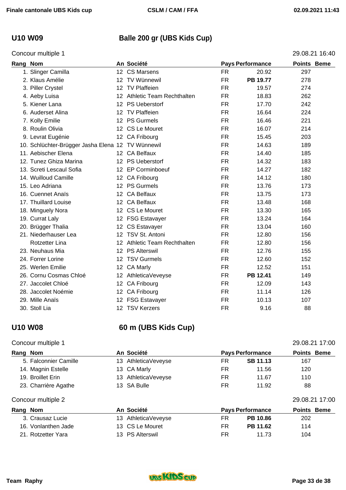## **U10 W09 Balle 200 gr (UBS Kids Cup)**

### Concour multiple 1 29.08.21 16:40

| Rang Nom |                                                   |                  | An Société                   |           | <b>Pays Performance</b> | <b>Points Beme</b> |  |
|----------|---------------------------------------------------|------------------|------------------------------|-----------|-------------------------|--------------------|--|
|          | 1. Slinger Camilla                                |                  | 12 CS Marsens                | <b>FR</b> | 20.92                   | 297                |  |
|          | 2. Klaus Amélie                                   |                  | 12 TV Wünnewil               | <b>FR</b> | PB 19.77                | 278                |  |
|          | 3. Piller Crystel                                 |                  | 12 TV Plaffeien              | <b>FR</b> | 19.57                   | 274                |  |
|          | 4. Aeby Luisa                                     |                  | 12 Athletic Team Rechthalten | <b>FR</b> | 18.83                   | 262                |  |
|          | 5. Kiener Lana                                    |                  | 12 PS Ueberstorf             | <b>FR</b> | 17.70                   | 242                |  |
|          | 6. Auderset Alina                                 |                  | 12 TV Plaffeien              | <b>FR</b> | 16.64                   | 224                |  |
|          | 7. Kolly Emilie                                   |                  | 12 PS Gurmels                | <b>FR</b> | 16.46                   | 221                |  |
|          | 8. Roulin Olivia                                  |                  | 12 CS Le Mouret              | <b>FR</b> | 16.07                   | 214                |  |
|          | 9. Levrat Eugénie                                 |                  | 12 CA Fribourg               | <b>FR</b> | 15.45                   | 203                |  |
|          | 10. Schlüchter-Brügger Jasha Elena 12 TV Wünnewil |                  |                              | <b>FR</b> | 14.63                   | 189                |  |
|          | 11. Aebischer Elena                               |                  | 12 CA Belfaux                | <b>FR</b> | 14.40                   | 185                |  |
|          | 12. Tunez Ghiza Marina                            |                  | 12 PS Ueberstorf             | <b>FR</b> | 14.32                   | 183                |  |
|          | 13. Screti Lescaul Sofia                          |                  | 12 EP Corminboeuf            | <b>FR</b> | 14.27                   | 182                |  |
|          | 14. Wuilloud Camille                              |                  | 12 CA Fribourg               | <b>FR</b> | 14.12                   | 180                |  |
|          | 15. Leo Adriana                                   |                  | 12 PS Gurmels                | <b>FR</b> | 13.76                   | 173                |  |
|          | 16. Cuennet Anaïs                                 |                  | 12 CA Belfaux                | <b>FR</b> | 13.75                   | 173                |  |
|          | 17. Thuillard Louise                              | 12 <sup>12</sup> | <b>CA Belfaux</b>            | <b>FR</b> | 13.48                   | 168                |  |
|          | 18. Minguely Nora                                 |                  | 12 CS Le Mouret              | <b>FR</b> | 13.30                   | 165                |  |
|          | 19. Currat Laly                                   |                  | 12 FSG Estavayer             | <b>FR</b> | 13.24                   | 164                |  |
|          | 20. Brügger Thalia                                |                  | 12 CS Estavayer              | <b>FR</b> | 13.04                   | 160                |  |
|          | 21. Niederhauser Lea                              |                  | 12 TSV St. Antoni            | <b>FR</b> | 12.80                   | 156                |  |
|          | <b>Rotzetter Lina</b>                             |                  | 12 Athletic Team Rechthalten | <b>FR</b> | 12.80                   | 156                |  |
|          | 23. Neuhaus Mia                                   |                  | 12 PS Alterswil              | <b>FR</b> | 12.76                   | 155                |  |
|          | 24. Forrer Lorine                                 |                  | 12 TSV Gurmels               | <b>FR</b> | 12.60                   | 152                |  |
|          | 25. Werlen Emilie                                 | 12 <sup>12</sup> | CA Marly                     | <b>FR</b> | 12.52                   | 151                |  |
|          | 26. Cornu Cosmas Chloé                            |                  | 12 AthleticaVeveyse          | <b>FR</b> | PB 12.41                | 149                |  |
|          | 27. Jaccolet Chloé                                |                  | 12 CA Fribourg               | <b>FR</b> | 12.09                   | 143                |  |
|          | 28. Jaccolet Noémie                               |                  | 12 CA Fribourg               | <b>FR</b> | 11.14                   | 126                |  |
|          | 29. Mille Anaïs                                   |                  | 12 FSG Estavayer             | FR        | 10.13                   | 107                |  |
|          | 30. Stoll Lia                                     |                  | 12 TSV Kerzers               | <b>FR</b> | 9.16                    | 88                 |  |

### **U10 W08 60 m (UBS Kids Cup)**

### Concour multiple 1 29.08.21 17:00

## **Rang** Nom **An Société Pays** Performance **Points** Beme 5. Falconnier Camille 13 AthleticaVeveyse FR **SB 11.13** 167 14. Magnin Estelle 13 CA Marly 13 CA Marly 11 FR 11.56 120 19. Broillet Erin 110 Communication 13 AthleticaVeveyse Communication FR 11.67 110 23. Charrière Agathe 13 SA Bulle 12 FR 11.92 88 Concour multiple 2 29.08.21 17:00 **Rang Nom An Société Pays Performance Points Beme**  3. Crausaz Lucie 13 AthleticaVeveyse FR **PB 10.86** 202 16. Vonlanthen Jade 13 CS Le Mouret FR **PB 11.62** 114 21. Rotzetter Yara **13 PS Alterswil** FR 11.73 104

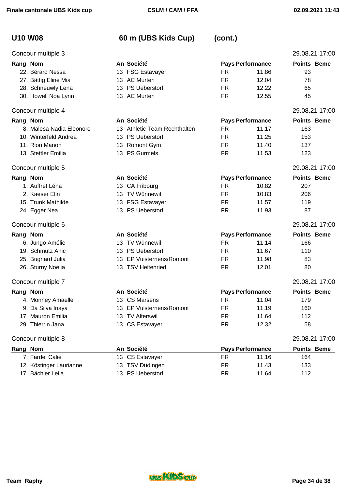# **U10 W08 60 m (UBS Kids Cup) (cont.)**

| Concour multiple 3       |                                         |                         |       | 29.08.21 17:00     |
|--------------------------|-----------------------------------------|-------------------------|-------|--------------------|
| Rang Nom                 | An Société                              | <b>Pays Performance</b> |       | Points Beme        |
| 22. Bérard Nessa         | 13 FSG Estavayer                        | FR.                     | 11.86 | 93                 |
| 27. Bättig Eline Mia     | 13 AC Murten                            | <b>FR</b>               | 12.04 | 78                 |
| 28. Schneuwly Lena       | 13 PS Ueberstorf                        | <b>FR</b>               | 12.22 | 65                 |
| 30. Howell Noa Lynn      | 13 AC Murten                            | <b>FR</b>               | 12.55 | 45                 |
| Concour multiple 4       |                                         |                         |       | 29.08.21 17:00     |
| Rang Nom                 | An Société                              | <b>Pays Performance</b> |       | <b>Points Beme</b> |
| 8. Malesa Nadia Eleonore | <b>Athletic Team Rechthalten</b><br>13. | <b>FR</b>               | 11.17 | 163                |
| 10. Winterfeld Andrea    | 13 PS Ueberstorf                        | <b>FR</b>               | 11.25 | 153                |
| 11. Rion Manon           | 13 Romont Gym                           | FR.                     | 11.40 | 137                |
| 13. Stettler Emilia      | 13 PS Gurmels                           | <b>FR</b>               | 11.53 | 123                |
| Concour multiple 5       |                                         |                         |       | 29.08.21 17:00     |
| Rang Nom                 | An Société                              | <b>Pays Performance</b> |       | <b>Points Beme</b> |
| 1. Auffret Léna          | 13 CA Fribourg                          | FR.                     | 10.82 | 207                |
| 2. Kaeser Elin           | 13 TV Wünnewil                          | <b>FR</b>               | 10.83 | 206                |
| 15. Trunk Mathilde       | 13 FSG Estavayer                        | <b>FR</b>               | 11.57 | 119                |
| 24. Egger Nea            | 13 PS Ueberstorf                        | <b>FR</b>               | 11.93 | 87                 |
| Concour multiple 6       |                                         |                         |       | 29.08.21 17:00     |
| Rang Nom                 | An Société                              | <b>Pays Performance</b> |       | <b>Points Beme</b> |
| 6. Jungo Amélie          | 13 TV Wünnewil                          | FR.                     | 11.14 | 166                |
| 19. Schmutz Anic         | 13 PS Ueberstorf                        | <b>FR</b>               | 11.67 | 110                |
| 25. Bugnard Julia        | 13 EP Vuisternens/Romont                | <b>FR</b>               | 11.98 | 83                 |
| 26. Sturny Noelia        | 13 TSV Heitenried                       | <b>FR</b>               | 12.01 | 80                 |
| Concour multiple 7       |                                         |                         |       | 29.08.21 17:00     |
| Rang Nom                 | An Société                              | <b>Pays Performance</b> |       | <b>Points Beme</b> |
| 4. Monney Amaelle        | 13 CS Marsens                           | <b>FR</b>               | 11.04 | 179                |
| 9. Da Silva Inaya        | 13 EP Vuisternens/Romont                | <b>FR</b>               | 11.19 | 160                |
| 17. Mauron Emilia        | 13 TV Alterswil                         | <b>FR</b>               | 11.64 | 112                |
| 29. Thierrin Jana        | 13 CS Estavayer                         | <b>FR</b>               | 12.32 | 58                 |
| Concour multiple 8       |                                         |                         |       | 29.08.21 17:00     |
| Rang Nom                 | An Société                              | <b>Pays Performance</b> |       | Points Beme        |
| 7. Fardel Calie          | 13 CS Estavayer                         | <b>FR</b>               | 11.16 | 164                |
| 12. Köstinger Laurianne  | 13 TSV Düdingen                         | <b>FR</b>               | 11.43 | 133                |
| 17. Bächler Leila        | 13 PS Ueberstorf                        | <b>FR</b>               | 11.64 | 112                |

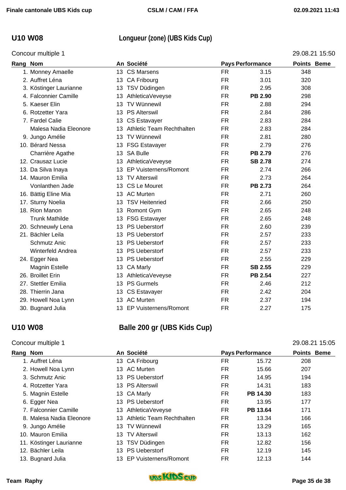## **U10 W08 Longueur (zone) (UBS Kids Cup)**

|          | Concour multiple 1     |                 |                              |           |                         | 29.08.21 15:50 |
|----------|------------------------|-----------------|------------------------------|-----------|-------------------------|----------------|
| Rang Nom |                        |                 | An Société                   |           | <b>Pays Performance</b> | Points Beme    |
|          | 1. Monney Amaelle      |                 | 13 CS Marsens                | <b>FR</b> | 3.15                    | 348            |
|          | 2. Auffret Léna        |                 | 13 CA Fribourg               | <b>FR</b> | 3.01                    | 320            |
|          | 3. Köstinger Laurianne |                 | 13 TSV Düdingen              | <b>FR</b> | 2.95                    | 308            |
|          | 4. Falconnier Camille  | 13              | AthleticaVeveyse             | <b>FR</b> | PB 2.90                 | 298            |
|          | 5. Kaeser Elin         |                 | 13 TV Wünnewil               | <b>FR</b> | 2.88                    | 294            |
|          | 6. Rotzetter Yara      |                 | 13 PS Alterswil              | <b>FR</b> | 2.84                    | 286            |
|          | 7. Fardel Calie        |                 | 13 CS Estavayer              | <b>FR</b> | 2.83                    | 284            |
|          | Malesa Nadia Eleonore  |                 | 13 Athletic Team Rechthalten | <b>FR</b> | 2.83                    | 284            |
|          | 9. Jungo Amélie        |                 | 13 TV Wünnewil               | <b>FR</b> | 2.81                    | 280            |
|          | 10. Bérard Nessa       |                 | 13 FSG Estavayer             | <b>FR</b> | 2.79                    | 276            |
|          | Charrière Agathe       |                 | 13 SA Bulle                  | <b>FR</b> | <b>PB 2.79</b>          | 276            |
|          | 12. Crausaz Lucie      |                 | 13 AthleticaVeveyse          | FR.       | <b>SB 2.78</b>          | 274            |
|          | 13. Da Silva Inaya     | 13 <sup>°</sup> | EP Vuisternens/Romont        | <b>FR</b> | 2.74                    | 266            |
|          | 14. Mauron Emilia      |                 | 13 TV Alterswil              | <b>FR</b> | 2.73                    | 264            |
|          | Vonlanthen Jade        |                 | 13 CS Le Mouret              | <b>FR</b> | <b>PB 2.73</b>          | 264            |
|          | 16. Bättig Eline Mia   |                 | 13 AC Murten                 | <b>FR</b> | 2.71                    | 260            |
|          | 17. Sturny Noelia      |                 | 13 TSV Heitenried            | <b>FR</b> | 2.66                    | 250            |
|          | 18. Rion Manon         |                 | 13 Romont Gym                | <b>FR</b> | 2.65                    | 248            |
|          | <b>Trunk Mathilde</b>  |                 | 13 FSG Estavayer             | <b>FR</b> | 2.65                    | 248            |
|          | 20. Schneuwly Lena     |                 | 13 PS Ueberstorf             | <b>FR</b> | 2.60                    | 239            |
|          | 21. Bächler Leila      | 13              | <b>PS Ueberstorf</b>         | <b>FR</b> | 2.57                    | 233            |
|          | Schmutz Anic           |                 | 13 PS Ueberstorf             | <b>FR</b> | 2.57                    | 233            |
|          | Winterfeld Andrea      | 13              | <b>PS Ueberstorf</b>         | <b>FR</b> | 2.57                    | 233            |
|          | 24. Egger Nea          |                 | 13 PS Ueberstorf             | <b>FR</b> | 2.55                    | 229            |
|          | Magnin Estelle         |                 | 13 CA Marly                  | <b>FR</b> | <b>SB 2.55</b>          | 229            |
|          | 26. Broillet Erin      |                 | 13 AthleticaVeveyse          | <b>FR</b> | <b>PB 2.54</b>          | 227            |
|          | 27. Stettler Emilia    |                 | 13 PS Gurmels                | <b>FR</b> | 2.46                    | 212            |
|          | 28. Thierrin Jana      |                 | 13 CS Estavayer              | <b>FR</b> | 2.42                    | 204            |
|          | 29. Howell Noa Lynn    |                 | 13 AC Murten                 | <b>FR</b> | 2.37                    | 194            |
|          | 30. Bugnard Julia      | 13              | <b>EP Vuisternens/Romont</b> | <b>FR</b> | 2.27                    | 175            |

### **U10 W08 Balle 200 gr (UBS Kids Cup)**

### Concour multiple 1 29.08.21 15:05

### **Rang Nom An Société Pays Performance Points Beme**  1. Auffret Léna 13 CA Fribourg FR 15.72 208 2. Howell Noa Lynn **13 AC Murten 12 Communist Communist Communist Communist Communist Communist Communist Communist Communist Communist Communist Communist Communist Communist Communist Communist Communist Communist Commun** 3. Schmutz Anic **13 PS Ueberstorf 14.95** 194 4. Rotzetter Yara 13 PS Alterswil FR 14.31 183 5. Magnin Estelle 13 CA Marly FR **PB 14.30** 183 6. Egger Nea 13 PS Ueberstorf 13 PS Ueberstorf 13.95 177 7. Falconnier Camille 13 AthleticaVeveyse FR **PB 13.64** 171 8. Malesa Nadia Eleonore 13 Athletic Team Rechthalten FR 13.34 166 9. Jungo Amélie 13 TV Wünnewil FR 13.29 165 10. Mauron Emilia 13 TV Alterswil 13 TV Alterswil 15 TR 13.13 162 11. Köstinger Laurianne 13 TSV Düdingen 12.82 156 12. Bächler Leila 13 PS Ueberstorf 13 PS Ueberstorf 12.19 145 13. Bugnard Julia 13 EP Vuisternens/Romont FR 12.13 144

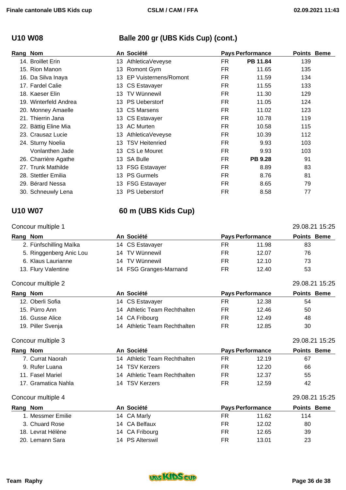## **U10 W08 Balle 200 gr (UBS Kids Cup) (cont.)**

| Rang Nom |                       |     | An Société                   |           | <b>Pays Performance</b> | <b>Points Beme</b> |  |
|----------|-----------------------|-----|------------------------------|-----------|-------------------------|--------------------|--|
|          | 14. Broillet Erin     | 13. | AthleticaVeveyse             | FR        | PB 11.84                | 139                |  |
|          | 15. Rion Manon        | 13. | Romont Gym                   | <b>FR</b> | 11.65                   | 135                |  |
|          | 16. Da Silva Inaya    | 13  | <b>EP Vuisternens/Romont</b> | FR        | 11.59                   | 134                |  |
|          | 17. Fardel Calie      |     | 13 CS Estavayer              | FR        | 11.55                   | 133                |  |
|          | 18. Kaeser Elin       | 13  | <b>TV Wünnewil</b>           | FR        | 11.30                   | 129                |  |
|          | 19. Winterfeld Andrea |     | 13 PS Ueberstorf             | FR.       | 11.05                   | 124                |  |
|          | 20. Monney Amaelle    |     | 13 CS Marsens                | FR        | 11.02                   | 123                |  |
|          | 21. Thierrin Jana     |     | 13 CS Estavayer              | FR.       | 10.78                   | 119                |  |
|          | 22. Bättig Eline Mia  | 13. | <b>AC Murten</b>             | FR        | 10.58                   | 115                |  |
|          | 23. Crausaz Lucie     | 13. | AthleticaVeveyse             | FR        | 10.39                   | 112                |  |
|          | 24. Sturny Noelia     | 13. | <b>TSV Heitenried</b>        | FR        | 9.93                    | 103                |  |
|          | Vonlanthen Jade       |     | 13 CS Le Mouret              | FR        | 9.93                    | 103                |  |
|          | 26. Charrière Agathe  |     | 13 SA Bulle                  | <b>FR</b> | <b>PB 9.28</b>          | 91                 |  |
|          | 27. Trunk Mathilde    |     | 13 FSG Estavayer             | FR        | 8.89                    | 83                 |  |
|          | 28. Stettler Emilia   | 13. | <b>PS Gurmels</b>            | FR        | 8.76                    | 81                 |  |
|          | 29. Bérard Nessa      | 13. | <b>FSG Estavayer</b>         | FR        | 8.65                    | 79                 |  |
|          | 30. Schneuwly Lena    | 13  | <b>PS Ueberstorf</b>         | FR        | 8.58                    | 77                 |  |

## **U10 W07 60 m (UBS Kids Cup)**

## Concour multiple 1 29.08.21 15:25 **Rang Nom An Société Pays Performance Points Beme**  2. Fünfschilling Maïka **14 CS Estavayer** FR 11.98 83 5. Ringgenberg Anic Lou 14 TV Wünnewil FR 12.07 76 6. Klaus Laurianne 14 TV Wünnewil FR 12.10 73 13. Flury Valentine **14 FSG Granges-Marnand** FR 12.40 53

### Concour multiple 2 29.08.21 15:25

| Rang Nom |                   | An Société                   | <b>Pays Performance</b> |       | <b>Points Beme</b> |  |
|----------|-------------------|------------------------------|-------------------------|-------|--------------------|--|
|          | 12. Oberli Sofia  | 14 CS Estavayer              | FR                      | 12.38 | 54                 |  |
|          | 15. Pürro Ann     | 14 Athletic Team Rechthalten | FR                      | 12.46 | 50                 |  |
|          | 16. Gusse Alice   | 14 CA Fribourg               | FR                      | 12.49 | 48                 |  |
|          | 19. Piller Svenja | 14 Athletic Team Rechthalten | FR                      | 12.85 | 30                 |  |

### Concour multiple 3 29.08.21 15:25

| Rang Nom            | An Société                   | <b>Pays Performance</b> |       | <b>Points Beme</b> |  |
|---------------------|------------------------------|-------------------------|-------|--------------------|--|
| 7. Currat Naorah    | 14 Athletic Team Rechthalten | FR.                     | 12.19 | 67                 |  |
| 9. Rufer Luana      | <b>TSV Kerzers</b><br>14     | FR                      | 12.20 | 66                 |  |
| 11. Fasel Mariel    | 14 Athletic Team Rechthalten | FR.                     | 12.37 | 55                 |  |
| 17. Gramatica Nahla | 14 TSV Kerzers               | <b>FR</b>               | 12.59 | 42                 |  |
| Concour multiple 4  |                              |                         |       | 29.08.21 15:25     |  |
| Rang Nom            | An Société                   | <b>Pays Performance</b> |       | <b>Points Beme</b> |  |
| 1. Messmer Emilie   | 14 CA Marly                  | FR.                     | 11.62 | 114                |  |
| 3. Chuard Rose      | 14 CA Belfaux                | FR                      | 12.02 | 80                 |  |



18. Levrat Hélène **14 CA Fribourg** FR 12.65 39 20. Lemann Sara **14 PS Alterswil 14 PS Alterswil FR** 13.01 23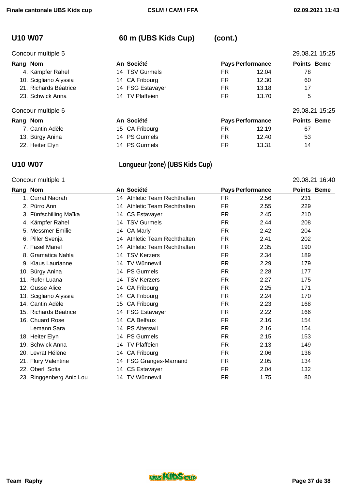# **U10 W07 60 m (UBS Kids Cup) (cont.)**

| Concour multiple 5    |  |                                                                                                                                                         |       | 29.08.21 15:25          |  |
|-----------------------|--|---------------------------------------------------------------------------------------------------------------------------------------------------------|-------|-------------------------|--|
| Rang Nom              |  | <b>Pays Performance</b>                                                                                                                                 |       | <b>Points Beme</b>      |  |
| 4. Kämpfer Rahel      |  | <b>FR</b>                                                                                                                                               | 12.04 | 78                      |  |
| 10. Scigliano Alyssia |  | FR.                                                                                                                                                     | 12.30 | 60                      |  |
| 21. Richards Béatrice |  | FR.                                                                                                                                                     | 13.18 | 17                      |  |
| 23. Schwick Anna      |  | FR.                                                                                                                                                     | 13.70 | 5                       |  |
| Concour multiple 6    |  |                                                                                                                                                         |       | 29.08.21 15:25          |  |
| Rang Nom              |  |                                                                                                                                                         |       | <b>Points Beme</b>      |  |
| 7. Cantin Adèle       |  | FR.                                                                                                                                                     | 12.19 | 67                      |  |
| 13. Bürgy Anina       |  | FR                                                                                                                                                      | 12.40 | 53                      |  |
| 22. Heiter Elyn       |  | <b>FR</b>                                                                                                                                               | 13.31 | 14                      |  |
|                       |  | An Société<br>14 TSV Gurmels<br>14 CA Fribourg<br>14 FSG Estavayer<br>14 TV Plaffeien<br>An Société<br>15 CA Fribourg<br>14 PS Gurmels<br>14 PS Gurmels |       | <b>Pays Performance</b> |  |

## **U10 W07 Longueur (zone) (UBS Kids Cup)**

## Concour multiple 1 29.08.21 16:40

| Rang Nom |                          |     | An Société                   | <b>Pays Performance</b> |      | <b>Points Beme</b> |  |
|----------|--------------------------|-----|------------------------------|-------------------------|------|--------------------|--|
|          | 1. Currat Naorah         |     | 14 Athletic Team Rechthalten | FR.                     | 2.56 | 231                |  |
|          | 2. Pürro Ann             |     | 14 Athletic Team Rechthalten | FR.                     | 2.55 | 229                |  |
|          | 3. Fünfschilling Maïka   |     | 14 CS Estavayer              | FR.                     | 2.45 | 210                |  |
|          | 4. Kämpfer Rahel         |     | 14 TSV Gurmels               | FR                      | 2.44 | 208                |  |
|          | 5. Messmer Emilie        |     | 14 CA Marly                  | <b>FR</b>               | 2.42 | 204                |  |
|          | 6. Piller Svenja         | 14  | Athletic Team Rechthalten    | FR.                     | 2.41 | 202                |  |
|          | 7. Fasel Mariel          | 14  | Athletic Team Rechthalten    | <b>FR</b>               | 2.35 | 190                |  |
|          | 8. Gramatica Nahla       |     | 14 TSV Kerzers               | FR                      | 2.34 | 189                |  |
|          | 9. Klaus Laurianne       | 14. | <b>TV Wünnewil</b>           | <b>FR</b>               | 2.29 | 179                |  |
|          | 10. Bürgy Anina          |     | 14 PS Gurmels                | <b>FR</b>               | 2.28 | 177                |  |
|          | 11. Rufer Luana          | 14  | <b>TSV Kerzers</b>           | <b>FR</b>               | 2.27 | 175                |  |
|          | 12. Gusse Alice          |     | 14 CA Fribourg               | FR.                     | 2.25 | 171                |  |
|          | 13. Scigliano Alyssia    | 14  | CA Fribourg                  | FR                      | 2.24 | 170                |  |
|          | 14. Cantin Adèle         | 15  | CA Fribourg                  | FR.                     | 2.23 | 168                |  |
|          | 15. Richards Béatrice    |     | 14 FSG Estavayer             | FR.                     | 2.22 | 166                |  |
|          | 16. Chuard Rose          | 14  | <b>CA Belfaux</b>            | <b>FR</b>               | 2.16 | 154                |  |
|          | Lemann Sara              |     | 14 PS Alterswil              | <b>FR</b>               | 2.16 | 154                |  |
|          | 18. Heiter Elyn          |     | 14 PS Gurmels                | <b>FR</b>               | 2.15 | 153                |  |
|          | 19. Schwick Anna         | 14  | <b>TV Plaffeien</b>          | <b>FR</b>               | 2.13 | 149                |  |
|          | 20. Levrat Hélène        |     | 14 CA Fribourg               | <b>FR</b>               | 2.06 | 136                |  |
|          | 21. Flury Valentine      |     | 14 FSG Granges-Marnand       | FR.                     | 2.05 | 134                |  |
|          | 22. Oberli Sofia         | 14  | <b>CS Estavayer</b>          | <b>FR</b>               | 2.04 | 132                |  |
|          | 23. Ringgenberg Anic Lou |     | 14 TV Wünnewil               | FR                      | 1.75 | 80                 |  |